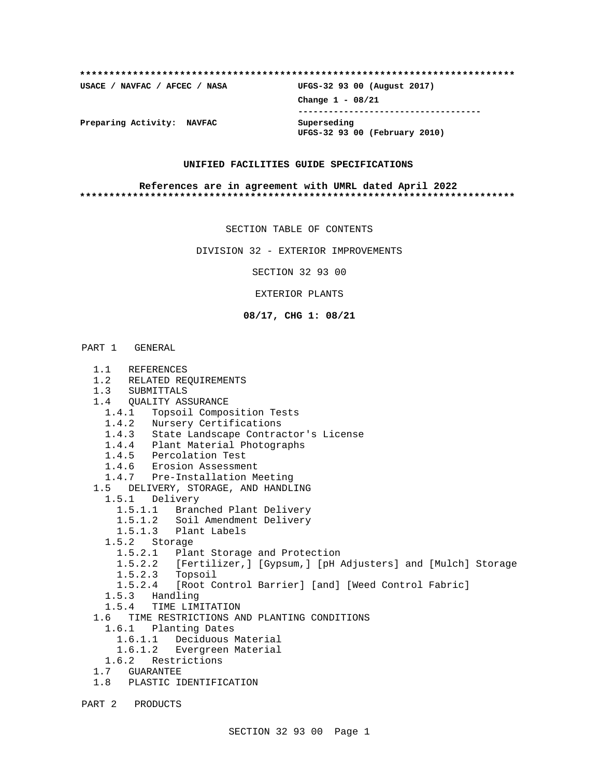# **\*\*\*\*\*\*\*\*\*\*\*\*\*\*\*\*\*\*\*\*\*\*\*\*\*\*\*\*\*\*\*\*\*\*\*\*\*\*\*\*\*\*\*\*\*\*\*\*\*\*\*\*\*\*\*\*\*\*\*\*\*\*\*\*\*\*\*\*\*\*\*\*\*\* USACE / NAVFAC / AFCEC / NASA UFGS-32 93 00 (August 2017) Change 1 - 08/21 ------------------------------------ Preparing Activity: NAVFAC Superseding UFGS-32 93 00 (February 2010)**

#### **UNIFIED FACILITIES GUIDE SPECIFICATIONS**

#### **References are in agreement with UMRL dated April 2022 \*\*\*\*\*\*\*\*\*\*\*\*\*\*\*\*\*\*\*\*\*\*\*\*\*\*\*\*\*\*\*\*\*\*\*\*\*\*\*\*\*\*\*\*\*\*\*\*\*\*\*\*\*\*\*\*\*\*\*\*\*\*\*\*\*\*\*\*\*\*\*\*\*\***

SECTION TABLE OF CONTENTS

DIVISION 32 - EXTERIOR IMPROVEMENTS

SECTION 32 93 00

EXTERIOR PLANTS

#### **08/17, CHG 1: 08/21**

#### PART 1 GENERAL

 1.1 REFERENCES 1.2 RELATED REQUIREMENTS 1.3 SUBMITTALS 1.4 QUALITY ASSURANCE 1.4.1 Topsoil Composition Tests 1.4.2 Nursery Certifications 1.4.3 State Landscape Contractor's License 1.4.4 Plant Material Photographs 1.4.5 Percolation Test 1.4.6 Erosion Assessment 1.4.7 Pre-Installation Meeting 1.5 DELIVERY, STORAGE, AND HANDLING 1.5.1 Delivery 1.5.1.1 Branched Plant Delivery 1.5.1.2 Soil Amendment Delivery 1.5.1.3 Plant Labels 1.5.2 Storage 1.5.2.1 Plant Storage and Protection 1.5.2.2 [Fertilizer,] [Gypsum,] [pH Adjusters] and [Mulch] Storage 1.5.2.3 Topsoil 1.5.2.4 [Root Control Barrier] [and] [Weed Control Fabric] 1.5.3 Handling 1.5.4 TIME LIMITATION 1.6 TIME RESTRICTIONS AND PLANTING CONDITIONS 1.6.1 Planting Dates 1.6.1.1 Deciduous Material 1.6.1.2 Evergreen Material 1.6.2 Restrictions 1.7 GUARANTEE 1.8 PLASTIC IDENTIFICATION PART 2 PRODUCTS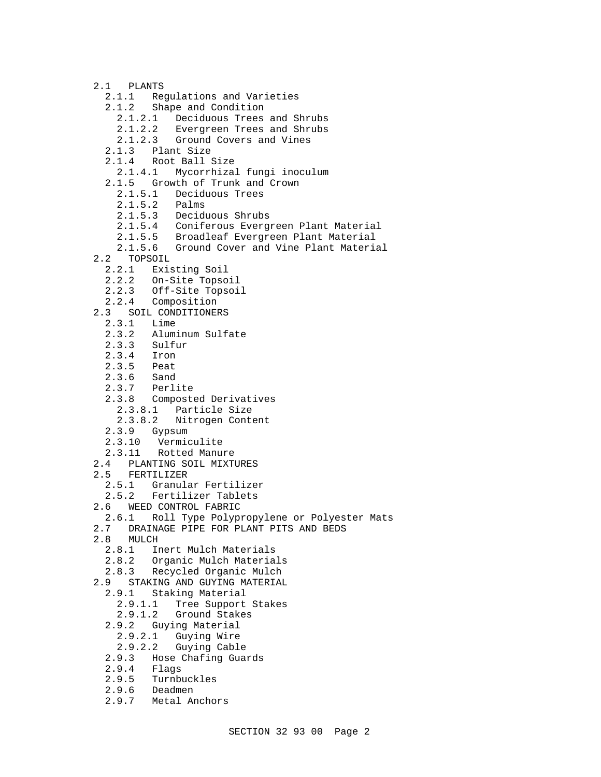- 2.1 PLANTS 2.1.1 Regulations and Varieties 2.1.2 Shape and Condition 2.1.2.1 Deciduous Trees and Shrubs 2.1.2.2 Evergreen Trees and Shrubs 2.1.2.3 Ground Covers and Vines 2.1.3 Plant Size 2.1.4 Root Ball Size 2.1.4.1 Mycorrhizal fungi inoculum 2.1.5 Growth of Trunk and Crown 2.1.5.1 Deciduous Trees 2.1.5.2 Palms 2.1.5.3 Deciduous Shrubs 2.1.5.4 Coniferous Evergreen Plant Material 2.1.5.5 Broadleaf Evergreen Plant Material<br>2.1.5.6 Ground Cover and Vine Plant Materia Ground Cover and Vine Plant Material 2.2 TOPSOIL<br>2.2.1 Exis Existing Soil 2.2.2 On-Site Topsoil 2.2.3 Off-Site Topsoil 2.2.4 Composition 2.3 SOIL CONDITIONERS 2.3.1 Lime 2.3.2 Aluminum Sulfate Sulfur 2.3.4 Iron<br>2.3.5 Peat Peat<br>Sand  $2.3.6$  2.3.7 Perlite 2.3.8 Composted Derivatives 2.3.8.1 Particle Size 2.3.8.2 Nitrogen Content 2.3.9 Gypsum 2.3.10 Vermiculite 2.3.11 Rotted Manure 2.4 PLANTING SOIL MIXTURES 2.5 FERTILIZER 2.5.1 Granular Fertilizer 2.5.2 Fertilizer Tablets 2.6 WEED CONTROL FABRIC 2.6.1 Roll Type Polypropylene or Polyester Mats<br>2.7 DRAINAGE PIPE FOR PLANT PITS AND BEDS 2.7 DRAINAGE PIPE FOR PLANT PITS AND BEDS<br>2.8 MULCH 8 MULCH<br>2.8.1 I Inert Mulch Materials 2.8.2 Organic Mulch Materials 2.8.3 Recycled Organic Mulch 2.9 STAKING AND GUYING MATERIAL 2.9.1 Staking Material 2.9.1.1 Tree Support Stakes<br>2.9.1.2 Ground Stakes Ground Stakes 2.9.2 Guying Material 2.9.2.1 Guying Wire 2.9.2.2 Guying Cable 2.9.3 Hose Chafing Guards<br>2.9.4 Flags 2.9.4 Flags<br>2.9.5 Turnbu Turnbuckles
	- 2.9.6 Deadmen
	- 2.9.7 Metal Anchors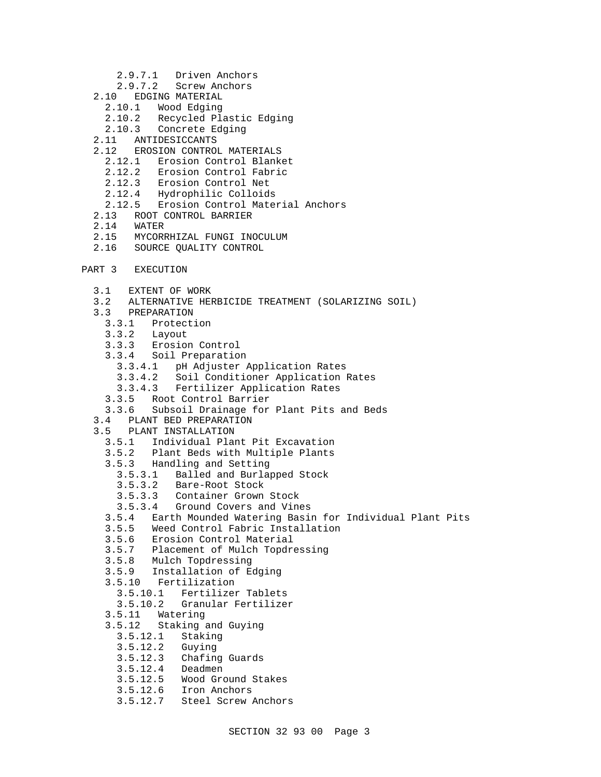- 2.9.7.1 Driven Anchors
- 2.9.7.2 Screw Anchors
- 2.10 EDGING MATERIAL
	- 2.10.1 Wood Edging
	- 2.10.2 Recycled Plastic Edging
	- 2.10.3 Concrete Edging
- 2.11 ANTIDESICCANTS
- 2.12 EROSION CONTROL MATERIALS
	- 2.12.1 Erosion Control Blanket
	- 2.12.2 Erosion Control Fabric
	- 2.12.3 Erosion Control Net
	- 2.12.4 Hydrophilic Colloids
	- 2.12.5 Erosion Control Material Anchors
- 2.13 ROOT CONTROL BARRIER<br>2.14 WATER
- 2.14 WATER<br>2.15 MYCORE
- 2.15 MYCORRHIZAL FUNGI INOCULUM<br>2.16 SOURCE QUALITY CONTROL
- 2.16 SOURCE QUALITY CONTROL
- PART 3 EXECUTION
	- 3.1 EXTENT OF WORK
	- 3.2 ALTERNATIVE HERBICIDE TREATMENT (SOLARIZING SOIL)
	- 3.3 PREPARATION
		- 3.3.1 Protection
		- 3.3.2 Layout
		- 3.3.3 Erosion Control
		- 3.3.4 Soil Preparation
			- 3.3.4.1 pH Adjuster Application Rates
			- 3.3.4.2 Soil Conditioner Application Rates
			- 3.3.4.3 Fertilizer Application Rates
		- 3.3.5 Root Control Barrier
		- 3.3.6 Subsoil Drainage for Plant Pits and Beds
	- 3.4 PLANT BED PREPARATION
	- 3.5 PLANT INSTALLATION
		- 3.5.1 Individual Plant Pit Excavation
		- 3.5.2 Plant Beds with Multiple Plants
		- 3.5.3 Handling and Setting
			- 3.5.3.1 Balled and Burlapped Stock
			- Bare-Root Stock
			- 3.5.3.3 Container Grown Stock
			- 3.5.3.4 Ground Covers and Vines
		- 3.5.4 Earth Mounded Watering Basin for Individual Plant Pits
		- 3.5.5 Weed Control Fabric Installation
		- 3.5.6 Erosion Control Material
		- Placement of Mulch Topdressing
		- 3.5.8 Mulch Topdressing
		- 3.5.9 Installation of Edging
		- 3.5.10 Fertilization
			- 3.5.10.1 Fertilizer Tablets
			- 3.5.10.2 Granular Fertilizer
		- 3.5.11 Watering
		- 3.5.12 Staking and Guying
		- 3.5.12.1 Staking
		- 3.5.12.2 Guying
		- 3.5.12.3 Chafing Guards
		- $3.5.12.4$
		- 3.5.12.5 Wood Ground Stakes
		- 3.5.12.6 Iron Anchors
		- 3.5.12.7 Steel Screw Anchors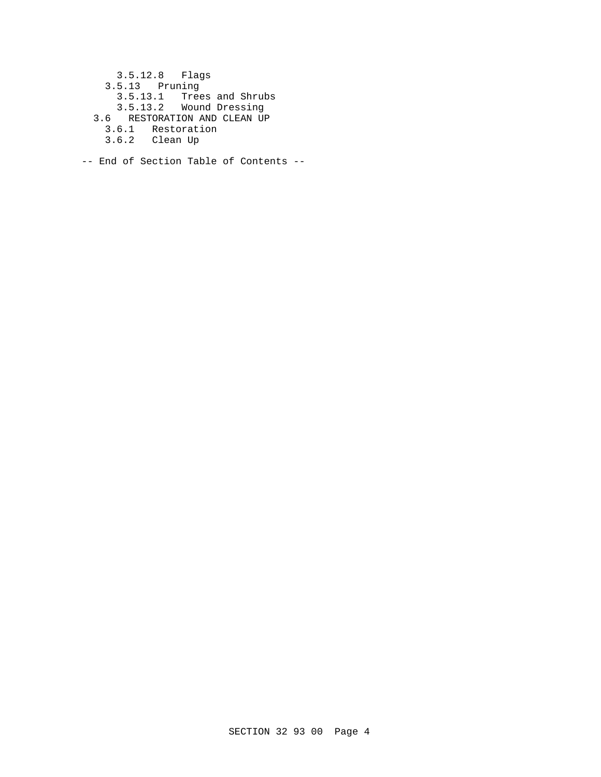3.5.12.8 Flags 3.5.13 Pruning 3.5.13.1 Trees and Shrubs 3.5.13.2 Wound Dressing 3.6 RESTORATION AND CLEAN UP 3.6.1 Restoration 3.6.2 Clean Up

-- End of Section Table of Contents --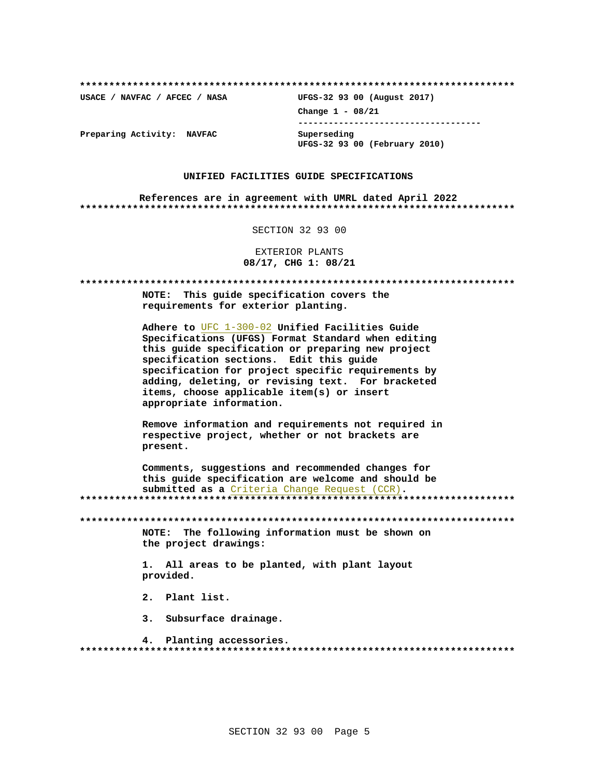USACE / NAVFAC / AFCEC / NASA

UFGS-32 93 00 (August 2017) Change  $1 - 08/21$ ------------------------------------Superseding UFGS-32 93 00 (February 2010)

Preparing Activity: NAVFAC

#### UNIFIED FACILITIES GUIDE SPECIFICATIONS

References are in agreement with UMRL dated April 2022 

SECTION 32 93 00

EXTERIOR PLANTS 08/17, CHG 1: 08/21

NOTE: This guide specification covers the requirements for exterior planting. Adhere to UFC 1-300-02 Unified Facilities Guide Specifications (UFGS) Format Standard when editing this guide specification or preparing new project specification sections. Edit this quide specification for project specific requirements by adding, deleting, or revising text. For bracketed items, choose applicable item(s) or insert appropriate information. Remove information and requirements not required in respective project, whether or not brackets are present. Comments, suggestions and recommended changes for this guide specification are welcome and should be submitted as a Criteria Change Request (CCR). NOTE: The following information must be shown on the project drawings: 1. All areas to be planted, with plant layout provided. 2. Plant list. 3. Subsurface drainage. 4. Planting accessories.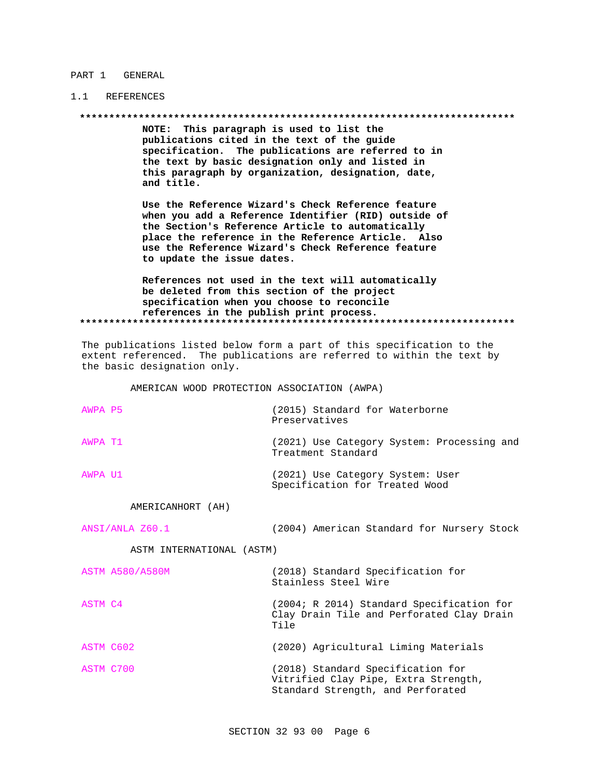#### PART 1 GENERAL

## 1.1 REFERENCES

NOTE: This paragraph is used to list the publications cited in the text of the guide specification. The publications are referred to in the text by basic designation only and listed in this paragraph by organization, designation, date, and title.

Use the Reference Wizard's Check Reference feature when you add a Reference Identifier (RID) outside of the Section's Reference Article to automatically place the reference in the Reference Article. Also use the Reference Wizard's Check Reference feature to update the issue dates.

References not used in the text will automatically be deleted from this section of the project specification when you choose to reconcile references in the publish print process. 

The publications listed below form a part of this specification to the extent referenced. The publications are referred to within the text by the basic designation only.

AMERICAN WOOD PROTECTION ASSOCIATION (AWPA)

| AWPA P5                   | (2015) Standard for Waterborne<br>Preservatives                                                                |
|---------------------------|----------------------------------------------------------------------------------------------------------------|
| AWPA T1                   | (2021) Use Category System: Processing and<br>Treatment Standard                                               |
| AWPA U1                   | (2021) Use Category System: User<br>Specification for Treated Wood                                             |
| AMERICANHORT (AH)         |                                                                                                                |
| ANSI/ANLA Z60.1           | (2004) American Standard for Nursery Stock                                                                     |
| ASTM INTERNATIONAL (ASTM) |                                                                                                                |
| <b>ASTM A580/A580M</b>    | (2018) Standard Specification for<br>Stainless Steel Wire                                                      |
| ASTM C4                   | (2004; R 2014) Standard Specification for<br>Clay Drain Tile and Perforated Clay Drain<br>Tile                 |
| ASTM C602                 | (2020) Agricultural Liming Materials                                                                           |
| ASTM C700                 | (2018) Standard Specification for<br>Vitrified Clay Pipe, Extra Strength,<br>Standard Strength, and Perforated |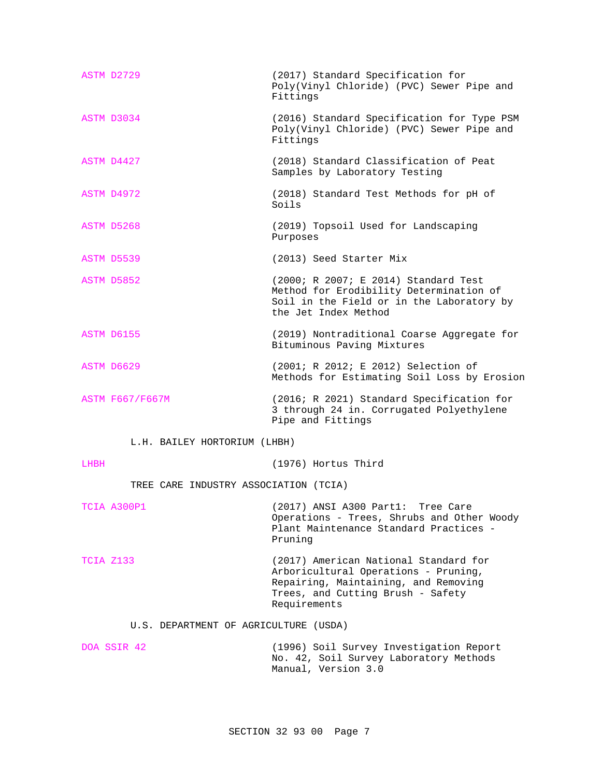| ASTM D2729                            | (2017) Standard Specification for<br>Poly(Vinyl Chloride) (PVC) Sewer Pipe and<br>Fittings                                                                                 |
|---------------------------------------|----------------------------------------------------------------------------------------------------------------------------------------------------------------------------|
| ASTM D3034                            | (2016) Standard Specification for Type PSM<br>Poly(Vinyl Chloride) (PVC) Sewer Pipe and<br>Fittings                                                                        |
| ASTM D4427                            | (2018) Standard Classification of Peat<br>Samples by Laboratory Testing                                                                                                    |
| ASTM D4972                            | (2018) Standard Test Methods for pH of<br>Soils                                                                                                                            |
| ASTM D5268                            | (2019) Topsoil Used for Landscaping<br>Purposes                                                                                                                            |
| ASTM D5539                            | (2013) Seed Starter Mix                                                                                                                                                    |
| ASTM D5852                            | (2000; R 2007; E 2014) Standard Test<br>Method for Erodibility Determination of<br>Soil in the Field or in the Laboratory by<br>the Jet Index Method                       |
| ASTM D6155                            | (2019) Nontraditional Coarse Aggregate for<br>Bituminous Paving Mixtures                                                                                                   |
| ASTM D6629                            | (2001; R 2012; E 2012) Selection of<br>Methods for Estimating Soil Loss by Erosion                                                                                         |
| ASTM F667/F667M                       | (2016; R 2021) Standard Specification for<br>3 through 24 in. Corrugated Polyethylene<br>Pipe and Fittings                                                                 |
| L.H. BAILEY HORTORIUM (LHBH)          |                                                                                                                                                                            |
| LHBH                                  | (1976) Hortus Third                                                                                                                                                        |
| TREE CARE INDUSTRY ASSOCIATION (TCIA) |                                                                                                                                                                            |
| TCIA A300P1                           | (2017) ANSI A300 Part1: Tree Care<br>Operations - Trees, Shrubs and Other Woody<br>Plant Maintenance Standard Practices -<br>Pruning                                       |
| TCIA Z133                             | (2017) American National Standard for<br>Arboricultural Operations - Pruning,<br>Repairing, Maintaining, and Removing<br>Trees, and Cutting Brush - Safety<br>Requirements |
| U.S. DEPARTMENT OF AGRICULTURE (USDA) |                                                                                                                                                                            |
| DOA SSIR 42                           | (1996) Soil Survey Investigation Report<br>No. 42, Soil Survey Laboratory Methods<br>Manual, Version 3.0                                                                   |
|                                       |                                                                                                                                                                            |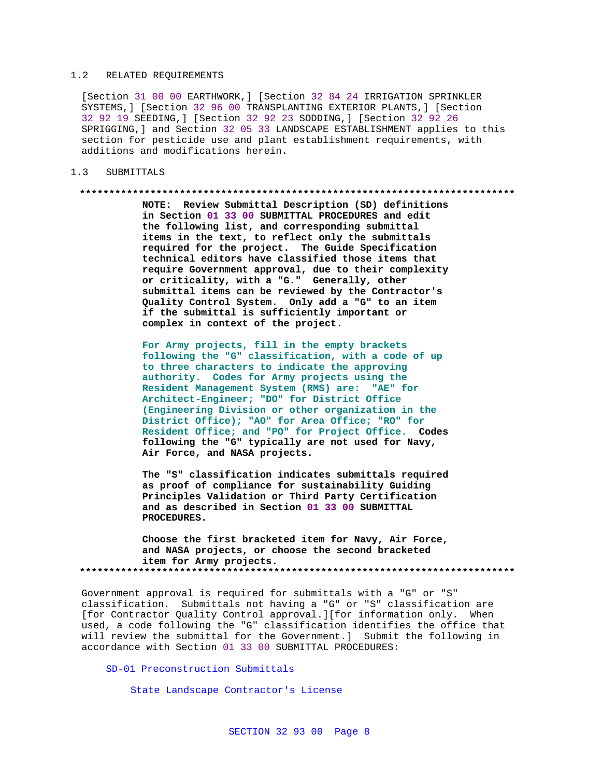### 1.2 RELATED REQUIREMENTS

[Section 31 00 00 EARTHWORK,] [Section 32 84 24 IRRIGATION SPRINKLER SYSTEMS,] [Section 32 96 00 TRANSPLANTING EXTERIOR PLANTS,] [Section 32 92 19 SEEDING,] [Section 32 92 23 SODDING,] [Section 32 92 26 SPRIGGING,] and Section 32 05 33 LANDSCAPE ESTABLISHMENT applies to this section for pesticide use and plant establishment requirements, with additions and modifications herein.

## 1.3 SUBMITTALS

#### **\*\*\*\*\*\*\*\*\*\*\*\*\*\*\*\*\*\*\*\*\*\*\*\*\*\*\*\*\*\*\*\*\*\*\*\*\*\*\*\*\*\*\*\*\*\*\*\*\*\*\*\*\*\*\*\*\*\*\*\*\*\*\*\*\*\*\*\*\*\*\*\*\*\***

**NOTE: Review Submittal Description (SD) definitions in Section 01 33 00 SUBMITTAL PROCEDURES and edit the following list, and corresponding submittal items in the text, to reflect only the submittals required for the project. The Guide Specification technical editors have classified those items that require Government approval, due to their complexity or criticality, with a "G." Generally, other submittal items can be reviewed by the Contractor's Quality Control System. Only add a "G" to an item if the submittal is sufficiently important or complex in context of the project.**

**For Army projects, fill in the empty brackets following the "G" classification, with a code of up to three characters to indicate the approving authority. Codes for Army projects using the Resident Management System (RMS) are: "AE" for Architect-Engineer; "DO" for District Office (Engineering Division or other organization in the District Office); "AO" for Area Office; "RO" for Resident Office; and "PO" for Project Office. Codes following the "G" typically are not used for Navy, Air Force, and NASA projects.**

**The "S" classification indicates submittals required as proof of compliance for sustainability Guiding Principles Validation or Third Party Certification and as described in Section 01 33 00 SUBMITTAL PROCEDURES.**

**Choose the first bracketed item for Navy, Air Force, and NASA projects, or choose the second bracketed item for Army projects. \*\*\*\*\*\*\*\*\*\*\*\*\*\*\*\*\*\*\*\*\*\*\*\*\*\*\*\*\*\*\*\*\*\*\*\*\*\*\*\*\*\*\*\*\*\*\*\*\*\*\*\*\*\*\*\*\*\*\*\*\*\*\*\*\*\*\*\*\*\*\*\*\*\***

Government approval is required for submittals with a "G" or "S" classification. Submittals not having a "G" or "S" classification are [for Contractor Quality Control approval.][for information only. When used, a code following the "G" classification identifies the office that will review the submittal for the Government.] Submit the following in accordance with Section 01 33 00 SUBMITTAL PROCEDURES:

SD-01 Preconstruction Submittals

State Landscape Contractor's License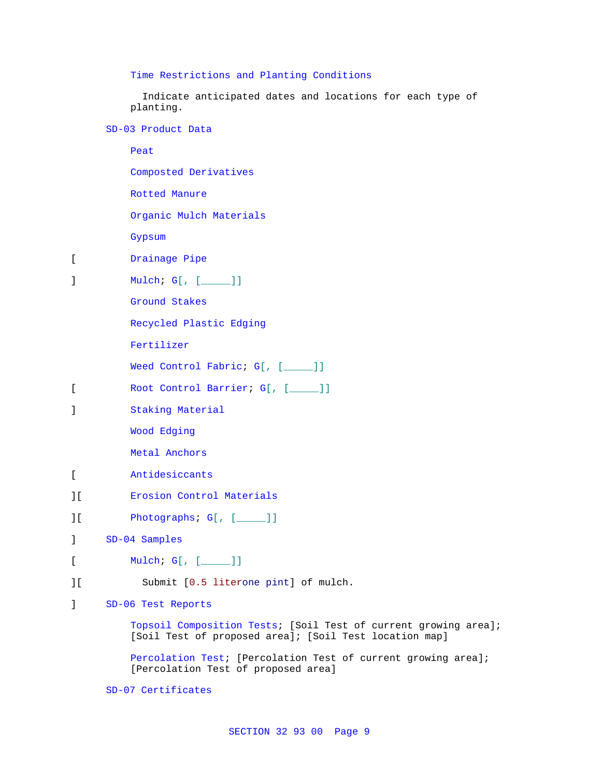Time Restrictions and Planting Conditions

 Indicate anticipated dates and locations for each type of planting.

SD-03 Product Data

Peat Composted Derivatives Rotted Manure Organic Mulch Materials Gypsum [ Drainage Pipe ] Mulch; G[, [\_\_\_\_\_]] Ground Stakes Recycled Plastic Edging Fertilizer Weed Control Fabric; G[, [\_\_\_\_]] [ Root Control Barrier; G[, [\_\_\_\_\_]] ] Staking Material Wood Edging Metal Anchors [ Antidesiccants ][ Erosion Control Materials ][ Photographs; G[, [\_\_\_\_\_]] ] SD-04 Samples [ Mulch; G[, [ \_\_\_\_\_ ]] ][ Submit [0.5 literone pint] of mulch. ] SD-06 Test Reports Topsoil Composition Tests; [Soil Test of current growing area]; [Soil Test of proposed area]; [Soil Test location map] Percolation Test; [Percolation Test of current growing area]; [Percolation Test of proposed area]

SD-07 Certificates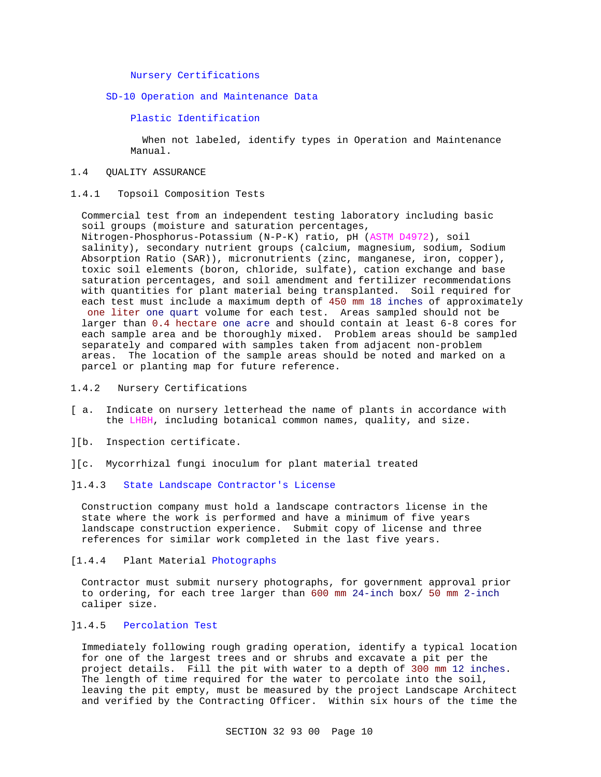## Nursery Certifications

## SD-10 Operation and Maintenance Data

### Plastic Identification

 When not labeled, identify types in Operation and Maintenance Manual.

## 1.4 QUALITY ASSURANCE

### 1.4.1 Topsoil Composition Tests

Commercial test from an independent testing laboratory including basic soil groups (moisture and saturation percentages, Nitrogen-Phosphorus-Potassium (N-P-K) ratio, pH (ASTM D4972), soil salinity), secondary nutrient groups (calcium, magnesium, sodium, Sodium Absorption Ratio (SAR)), micronutrients (zinc, manganese, iron, copper), toxic soil elements (boron, chloride, sulfate), cation exchange and base saturation percentages, and soil amendment and fertilizer recommendations with quantities for plant material being transplanted. Soil required for each test must include a maximum depth of 450 mm 18 inches of approximately one liter one quart volume for each test. Areas sampled should not be larger than 0.4 hectare one acre and should contain at least 6-8 cores for each sample area and be thoroughly mixed. Problem areas should be sampled separately and compared with samples taken from adjacent non-problem areas. The location of the sample areas should be noted and marked on a parcel or planting map for future reference.

## 1.4.2 Nursery Certifications

- [ a. Indicate on nursery letterhead the name of plants in accordance with the LHBH, including botanical common names, quality, and size.
- ][b. Inspection certificate.
- ][c. Mycorrhizal fungi inoculum for plant material treated

## ]1.4.3 State Landscape Contractor's License

Construction company must hold a landscape contractors license in the state where the work is performed and have a minimum of five years landscape construction experience. Submit copy of license and three references for similar work completed in the last five years.

## [1.4.4 Plant Material Photographs

Contractor must submit nursery photographs, for government approval prior to ordering, for each tree larger than 600 mm 24-inch box/ 50 mm 2-inch caliper size.

## ]1.4.5 Percolation Test

Immediately following rough grading operation, identify a typical location for one of the largest trees and or shrubs and excavate a pit per the project details. Fill the pit with water to a depth of 300 mm 12 inches. The length of time required for the water to percolate into the soil, leaving the pit empty, must be measured by the project Landscape Architect and verified by the Contracting Officer. Within six hours of the time the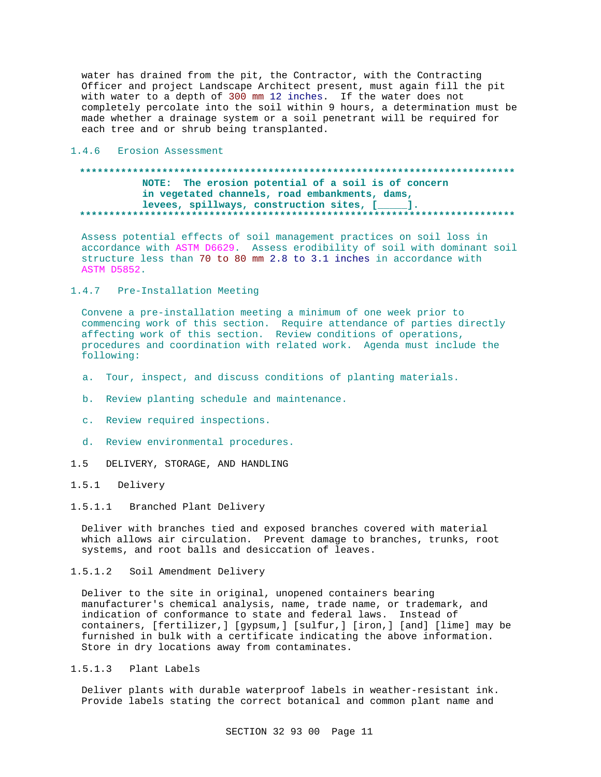water has drained from the pit, the Contractor, with the Contracting Officer and project Landscape Architect present, must again fill the pit with water to a depth of 300 mm 12 inches. If the water does not completely percolate into the soil within 9 hours, a determination must be made whether a drainage system or a soil penetrant will be required for each tree and or shrub being transplanted.

### 1.4.6 Erosion Assessment

## 

NOTE: The erosion potential of a soil is of concern in vegetated channels, road embankments, dams, levees, spillways, construction sites, [\_\_\_\_]. . . . . . . . . . . . . . . . . . . . . 

Assess potential effects of soil management practices on soil loss in accordance with ASTM D6629. Assess erodibility of soil with dominant soil structure less than 70 to 80 mm 2.8 to 3.1 inches in accordance with **ASTM D5852.** 

## 1.4.7 Pre-Installation Meeting

Convene a pre-installation meeting a minimum of one week prior to commencing work of this section. Require attendance of parties directly affecting work of this section. Review conditions of operations, procedures and coordination with related work. Agenda must include the following:

- a. Tour, inspect, and discuss conditions of planting materials.
- b. Review planting schedule and maintenance.
- c. Review required inspections.
- d. Review environmental procedures.
- DELIVERY, STORAGE, AND HANDLING  $1.5$

## 1.5.1 Delivery

1.5.1.1 Branched Plant Delivery

Deliver with branches tied and exposed branches covered with material which allows air circulation. Prevent damage to branches, trunks, root systems, and root balls and desiccation of leaves.

1.5.1.2 Soil Amendment Delivery

Deliver to the site in original, unopened containers bearing manufacturer's chemical analysis, name, trade name, or trademark, and indication of conformance to state and federal laws. Instead of containers, [fertilizer,] [gypsum,] [sulfur,] [iron,] [and] [lime] may be furnished in bulk with a certificate indicating the above information. Store in dry locations away from contaminates.

1.5.1.3 Plant Labels

Deliver plants with durable waterproof labels in weather-resistant ink. Provide labels stating the correct botanical and common plant name and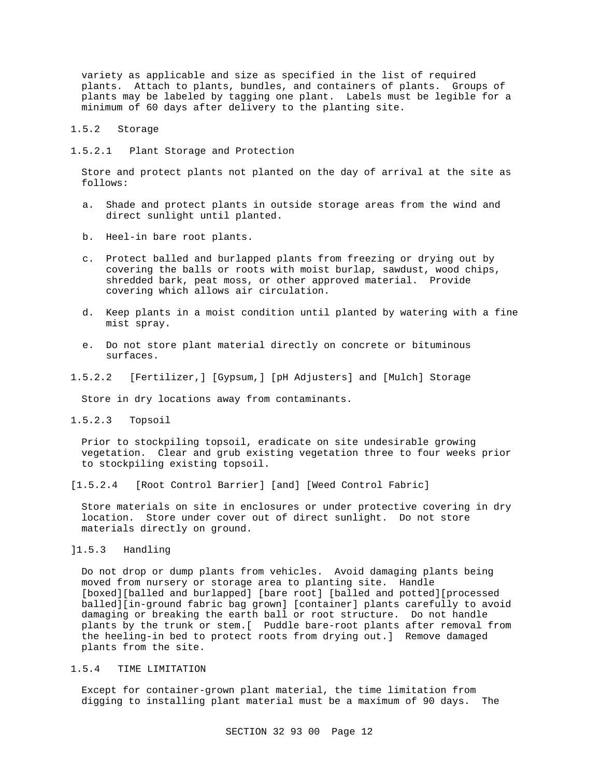variety as applicable and size as specified in the list of required plants. Attach to plants, bundles, and containers of plants. Groups of plants may be labeled by tagging one plant. Labels must be legible for a minimum of 60 days after delivery to the planting site.

- 1.5.2 Storage
- 1.5.2.1 Plant Storage and Protection

Store and protect plants not planted on the day of arrival at the site as follows:

- a. Shade and protect plants in outside storage areas from the wind and direct sunlight until planted.
- b. Heel-in bare root plants.
- c. Protect balled and burlapped plants from freezing or drying out by covering the balls or roots with moist burlap, sawdust, wood chips, shredded bark, peat moss, or other approved material. Provide covering which allows air circulation.
- d. Keep plants in a moist condition until planted by watering with a fine mist spray.
- e. Do not store plant material directly on concrete or bituminous surfaces.
- 1.5.2.2 [Fertilizer,] [Gypsum,] [pH Adjusters] and [Mulch] Storage

Store in dry locations away from contaminants.

1.5.2.3 Topsoil

Prior to stockpiling topsoil, eradicate on site undesirable growing vegetation. Clear and grub existing vegetation three to four weeks prior to stockpiling existing topsoil.

[1.5.2.4 [Root Control Barrier] [and] [Weed Control Fabric]

Store materials on site in enclosures or under protective covering in dry location. Store under cover out of direct sunlight. Do not store materials directly on ground.

]1.5.3 Handling

Do not drop or dump plants from vehicles. Avoid damaging plants being moved from nursery or storage area to planting site. Handle [boxed][balled and burlapped] [bare root] [balled and potted][processed balled][in-ground fabric bag grown] [container] plants carefully to avoid damaging or breaking the earth ball or root structure. Do not handle plants by the trunk or stem.[ Puddle bare-root plants after removal from the heeling-in bed to protect roots from drying out.] Remove damaged plants from the site.

## 1.5.4 TIME LIMITATION

Except for container-grown plant material, the time limitation from digging to installing plant material must be a maximum of 90 days. The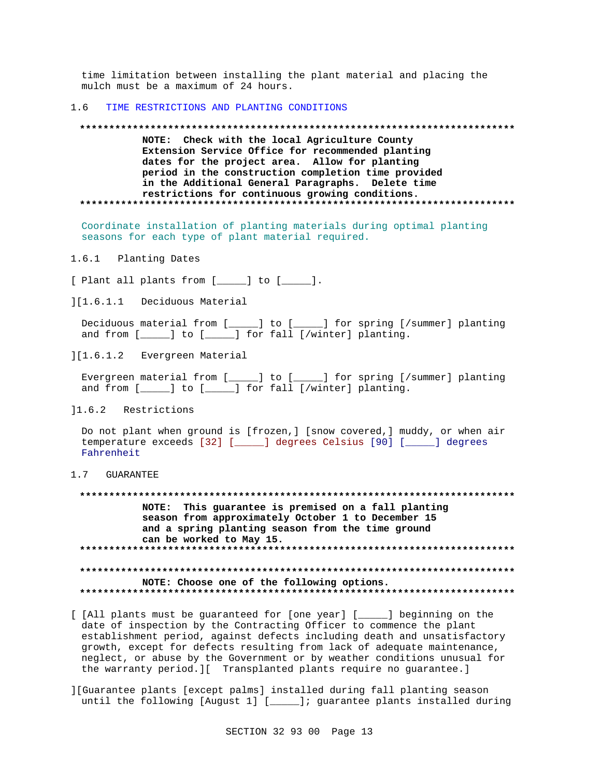time limitation between installing the plant material and placing the mulch must be a maximum of 24 hours.

#### 1.6 TIME RESTRICTIONS AND PLANTING CONDITIONS

#### **\*\*\*\*\*\*\*\*\*\*\*\*\*\*\*\*\*\*\*\*\*\*\*\*\*\*\*\*\*\*\*\*\*\*\*\*\*\*\*\*\*\*\*\*\*\*\*\*\*\*\*\*\*\*\*\*\*\*\*\*\*\*\*\*\*\*\*\*\*\*\*\*\*\***

**NOTE: Check with the local Agriculture County Extension Service Office for recommended planting dates for the project area. Allow for planting period in the construction completion time provided in the Additional General Paragraphs. Delete time restrictions for continuous growing conditions. \*\*\*\*\*\*\*\*\*\*\*\*\*\*\*\*\*\*\*\*\*\*\*\*\*\*\*\*\*\*\*\*\*\*\*\*\*\*\*\*\*\*\*\*\*\*\*\*\*\*\*\*\*\*\*\*\*\*\*\*\*\*\*\*\*\*\*\*\*\*\*\*\*\***

Coordinate installation of planting materials during optimal planting seasons for each type of plant material required.

1.6.1 Planting Dates

[ Plant all plants from [\_\_\_\_\_] to [\_\_\_\_\_].

][1.6.1.1 Deciduous Material

Deciduous material from [\_\_\_\_\_] to [\_\_\_\_\_] for spring [/summer] planting and from [\_\_\_\_\_] to [\_\_\_\_\_] for fall [/winter] planting.

][1.6.1.2 Evergreen Material

Evergreen material from [\_\_\_\_\_] to [\_\_\_\_\_] for spring [/summer] planting and from [\_\_\_\_\_] to [\_\_\_\_\_] for fall [/winter] planting.

]1.6.2 Restrictions

Do not plant when ground is [frozen,] [snow covered,] muddy, or when air temperature exceeds [32] [\_\_\_\_\_] degrees Celsius [90] [\_\_\_\_\_] degrees Fahrenheit

## 1.7 GUARANTEE

**\*\*\*\*\*\*\*\*\*\*\*\*\*\*\*\*\*\*\*\*\*\*\*\*\*\*\*\*\*\*\*\*\*\*\*\*\*\*\*\*\*\*\*\*\*\*\*\*\*\*\*\*\*\*\*\*\*\*\*\*\*\*\*\*\*\*\*\*\*\*\*\*\*\* NOTE: This guarantee is premised on a fall planting season from approximately October 1 to December 15 and a spring planting season from the time ground can be worked to May 15. \*\*\*\*\*\*\*\*\*\*\*\*\*\*\*\*\*\*\*\*\*\*\*\*\*\*\*\*\*\*\*\*\*\*\*\*\*\*\*\*\*\*\*\*\*\*\*\*\*\*\*\*\*\*\*\*\*\*\*\*\*\*\*\*\*\*\*\*\*\*\*\*\*\* \*\*\*\*\*\*\*\*\*\*\*\*\*\*\*\*\*\*\*\*\*\*\*\*\*\*\*\*\*\*\*\*\*\*\*\*\*\*\*\*\*\*\*\*\*\*\*\*\*\*\*\*\*\*\*\*\*\*\*\*\*\*\*\*\*\*\*\*\*\*\*\*\*\* NOTE: Choose one of the following options. \*\*\*\*\*\*\*\*\*\*\*\*\*\*\*\*\*\*\*\*\*\*\*\*\*\*\*\*\*\*\*\*\*\*\*\*\*\*\*\*\*\*\*\*\*\*\*\*\*\*\*\*\*\*\*\*\*\*\*\*\*\*\*\*\*\*\*\*\*\*\*\*\*\***

- [ [All plants must be guaranteed for [one year] [\_\_\_\_\_] beginning on the date of inspection by the Contracting Officer to commence the plant establishment period, against defects including death and unsatisfactory growth, except for defects resulting from lack of adequate maintenance, neglect, or abuse by the Government or by weather conditions unusual for the warranty period.][ Transplanted plants require no guarantee.]
- ][Guarantee plants [except palms] installed during fall planting season until the following [August 1] [\_\_\_\_\_]; guarantee plants installed during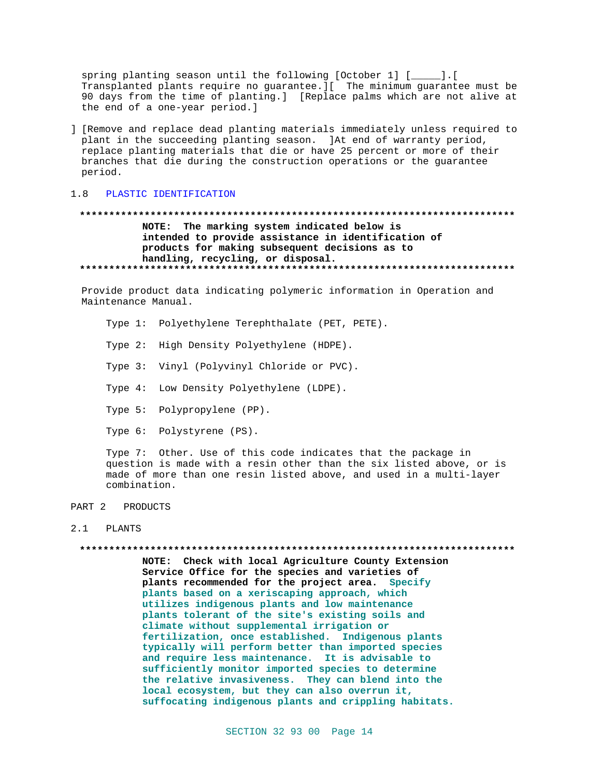spring planting season until the following  $[October 1] [$ Transplanted plants require no guarantee. I[ The minimum guarantee must be 90 days from the time of planting.] [Replace palms which are not alive at the end of a one-year period.]

] [Remove and replace dead planting materials immediately unless required to plant in the succeeding planting season. At end of warranty period, replace planting materials that die or have 25 percent or more of their branches that die during the construction operations or the guarantee period.

#### $1.8$ PLASTIC IDENTIFICATION

## NOTE: The marking system indicated below is intended to provide assistance in identification of products for making subsequent decisions as to handling, recycling, or disposal.

Provide product data indicating polymeric information in Operation and Maintenance Manual.

Type 1: Polyethylene Terephthalate (PET, PETE).

Type 2: High Density Polyethylene (HDPE).

Type 3: Vinyl (Polyvinyl Chloride or PVC).

Type 4: Low Density Polyethylene (LDPE).

Type 5: Polypropylene (PP).

Type 6: Polystyrene (PS).

Type 7: Other. Use of this code indicates that the package in question is made with a resin other than the six listed above, or is made of more than one resin listed above, and used in a multi-layer combination.

#### PART 2 PRODUCTS

#### $2.1$ PLANTS

#### 

NOTE: Check with local Agriculture County Extension Service Office for the species and varieties of plants recommended for the project area. Specify plants based on a xeriscaping approach, which utilizes indigenous plants and low maintenance plants tolerant of the site's existing soils and climate without supplemental irrigation or fertilization, once established. Indigenous plants typically will perform better than imported species and require less maintenance. It is advisable to sufficiently monitor imported species to determine the relative invasiveness. They can blend into the local ecosystem, but they can also overrun it, suffocating indigenous plants and crippling habitats.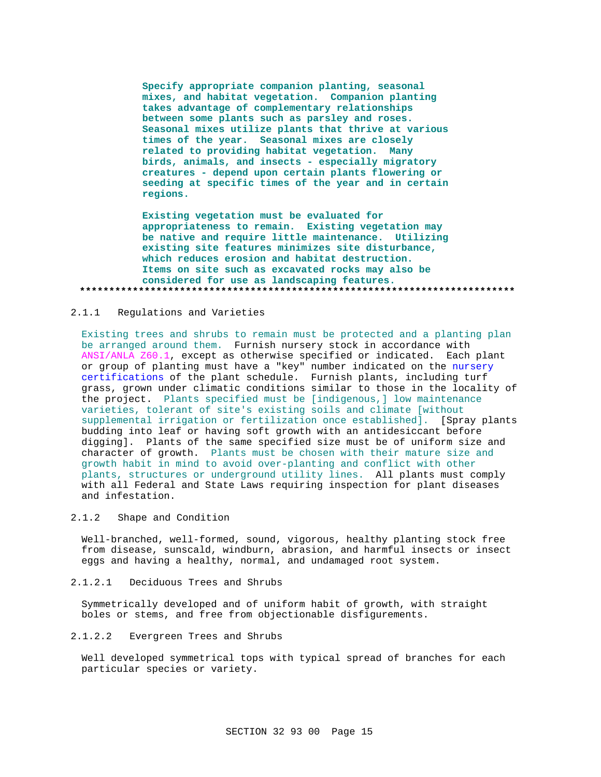**Specify appropriate companion planting, seasonal mixes, and habitat vegetation. Companion planting takes advantage of complementary relationships between some plants such as parsley and roses. Seasonal mixes utilize plants that thrive at various times of the year. Seasonal mixes are closely related to providing habitat vegetation. Many birds, animals, and insects - especially migratory creatures - depend upon certain plants flowering or seeding at specific times of the year and in certain regions.**

**Existing vegetation must be evaluated for appropriateness to remain. Existing vegetation may be native and require little maintenance. Utilizing existing site features minimizes site disturbance, which reduces erosion and habitat destruction. Items on site such as excavated rocks may also be considered for use as landscaping features. \*\*\*\*\*\*\*\*\*\*\*\*\*\*\*\*\*\*\*\*\*\*\*\*\*\*\*\*\*\*\*\*\*\*\*\*\*\*\*\*\*\*\*\*\*\*\*\*\*\*\*\*\*\*\*\*\*\*\*\*\*\*\*\*\*\*\*\*\*\*\*\*\*\***

#### 2.1.1 Regulations and Varieties

Existing trees and shrubs to remain must be protected and a planting plan be arranged around them. Furnish nursery stock in accordance with ANSI/ANLA Z60.1, except as otherwise specified or indicated. Each plant or group of planting must have a "key" number indicated on the nursery certifications of the plant schedule. Furnish plants, including turf grass, grown under climatic conditions similar to those in the locality of the project. Plants specified must be [indigenous,] low maintenance varieties, tolerant of site's existing soils and climate [without supplemental irrigation or fertilization once established]. [Spray plants budding into leaf or having soft growth with an antidesiccant before digging]. Plants of the same specified size must be of uniform size and character of growth. Plants must be chosen with their mature size and growth habit in mind to avoid over-planting and conflict with other plants, structures or underground utility lines. All plants must comply with all Federal and State Laws requiring inspection for plant diseases and infestation.

## 2.1.2 Shape and Condition

Well-branched, well-formed, sound, vigorous, healthy planting stock free from disease, sunscald, windburn, abrasion, and harmful insects or insect eggs and having a healthy, normal, and undamaged root system.

## 2.1.2.1 Deciduous Trees and Shrubs

Symmetrically developed and of uniform habit of growth, with straight boles or stems, and free from objectionable disfigurements.

#### 2.1.2.2 Evergreen Trees and Shrubs

Well developed symmetrical tops with typical spread of branches for each particular species or variety.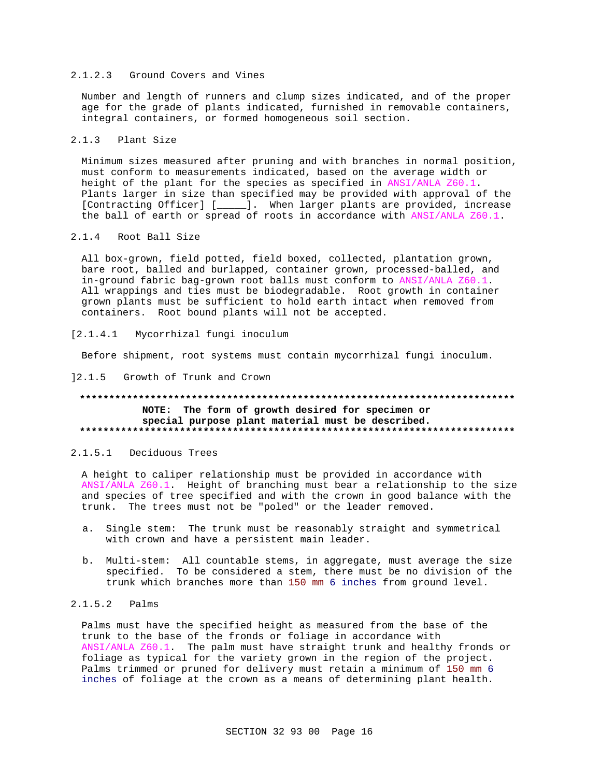## 2.1.2.3 Ground Covers and Vines

Number and length of runners and clump sizes indicated, and of the proper age for the grade of plants indicated, furnished in removable containers, integral containers, or formed homogeneous soil section.

#### $2.1.3$ Plant Size

Minimum sizes measured after pruning and with branches in normal position, must conform to measurements indicated, based on the average width or height of the plant for the species as specified in ANSI/ANLA Z60.1. Plants larger in size than specified may be provided with approval of the [Contracting Officer] [\_\_\_\_\_]. When larger plants are provided, increase the ball of earth or spread of roots in accordance with ANSI/ANLA Z60.1.

## 2.1.4 Root Ball Size

All box-grown, field potted, field boxed, collected, plantation grown, bare root, balled and burlapped, container grown, processed-balled, and in-ground fabric bag-grown root balls must conform to ANSI/ANLA Z60.1. All wrappings and ties must be biodegradable. Root growth in container grown plants must be sufficient to hold earth intact when removed from containers. Root bound plants will not be accepted.

#### $[2.1.4.1]$ Mycorrhizal fungi inoculum

Before shipment, root systems must contain mycorrhizal fungi inoculum.

### 12.1.5 Growth of Trunk and Crown

## NOTE: The form of growth desired for specimen or special purpose plant material must be described.

## 2.1.5.1 Deciduous Trees

A height to caliper relationship must be provided in accordance with ANSI/ANLA Z60.1. Height of branching must bear a relationship to the size and species of tree specified and with the crown in good balance with the trunk. The trees must not be "poled" or the leader removed.

- a. Single stem: The trunk must be reasonably straight and symmetrical with crown and have a persistent main leader.
- b. Multi-stem: All countable stems, in aggregate, must average the size specified. To be considered a stem, there must be no division of the trunk which branches more than 150 mm 6 inches from ground level.

# $2.1.5.2$  Palms

Palms must have the specified height as measured from the base of the trunk to the base of the fronds or foliage in accordance with ANSI/ANLA Z60.1. The palm must have straight trunk and healthy fronds or foliage as typical for the variety grown in the region of the project. Palms trimmed or pruned for delivery must retain a minimum of 150 mm 6 inches of foliage at the crown as a means of determining plant health.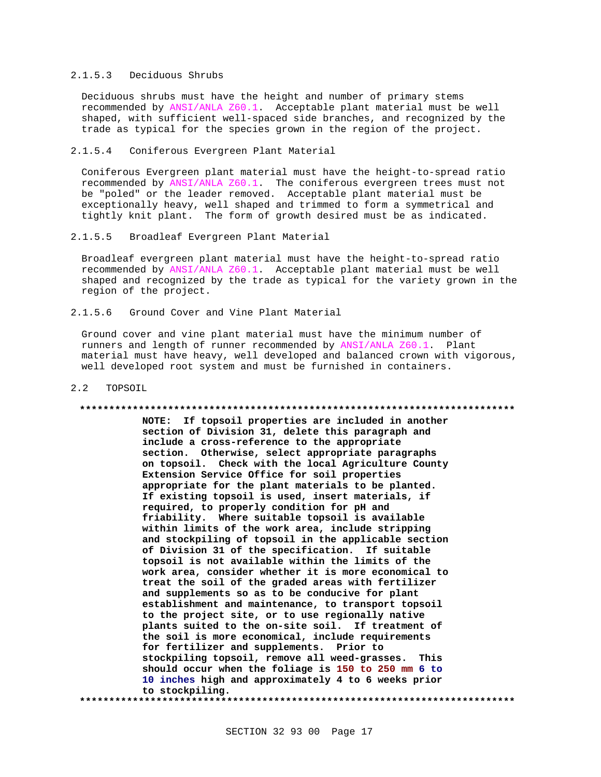## 2.1.5.3 Deciduous Shrubs

Deciduous shrubs must have the height and number of primary stems recommended by ANSI/ANLA Z60.1. Acceptable plant material must be well shaped, with sufficient well-spaced side branches, and recognized by the trade as typical for the species grown in the region of the project.

## 2.1.5.4 Coniferous Evergreen Plant Material

Coniferous Evergreen plant material must have the height-to-spread ratio recommended by ANSI/ANLA Z60.1. The coniferous evergreen trees must not be "poled" or the leader removed. Acceptable plant material must be exceptionally heavy, well shaped and trimmed to form a symmetrical and tightly knit plant. The form of growth desired must be as indicated.

### 2.1.5.5 Broadleaf Evergreen Plant Material

Broadleaf evergreen plant material must have the height-to-spread ratio recommended by ANSI/ANLA Z60.1. Acceptable plant material must be well shaped and recognized by the trade as typical for the variety grown in the region of the project.

2.1.5.6 Ground Cover and Vine Plant Material

Ground cover and vine plant material must have the minimum number of runners and length of runner recommended by ANSI/ANLA Z60.1. Plant material must have heavy, well developed and balanced crown with vigorous, well developed root system and must be furnished in containers.

#### 2.2 TOPSOIL

#### **\*\*\*\*\*\*\*\*\*\*\*\*\*\*\*\*\*\*\*\*\*\*\*\*\*\*\*\*\*\*\*\*\*\*\*\*\*\*\*\*\*\*\*\*\*\*\*\*\*\*\*\*\*\*\*\*\*\*\*\*\*\*\*\*\*\*\*\*\*\*\*\*\*\***

**NOTE: If topsoil properties are included in another section of Division 31, delete this paragraph and include a cross-reference to the appropriate section. Otherwise, select appropriate paragraphs on topsoil. Check with the local Agriculture County Extension Service Office for soil properties appropriate for the plant materials to be planted. If existing topsoil is used, insert materials, if required, to properly condition for pH and friability. Where suitable topsoil is available within limits of the work area, include stripping and stockpiling of topsoil in the applicable section of Division 31 of the specification. If suitable topsoil is not available within the limits of the work area, consider whether it is more economical to treat the soil of the graded areas with fertilizer and supplements so as to be conducive for plant establishment and maintenance, to transport topsoil to the project site, or to use regionally native plants suited to the on-site soil. If treatment of the soil is more economical, include requirements for fertilizer and supplements. Prior to stockpiling topsoil, remove all weed-grasses. This should occur when the foliage is 150 to 250 mm 6 to 10 inches high and approximately 4 to 6 weeks prior to stockpiling. \*\*\*\*\*\*\*\*\*\*\*\*\*\*\*\*\*\*\*\*\*\*\*\*\*\*\*\*\*\*\*\*\*\*\*\*\*\*\*\*\*\*\*\*\*\*\*\*\*\*\*\*\*\*\*\*\*\*\*\*\*\*\*\*\*\*\*\*\*\*\*\*\*\***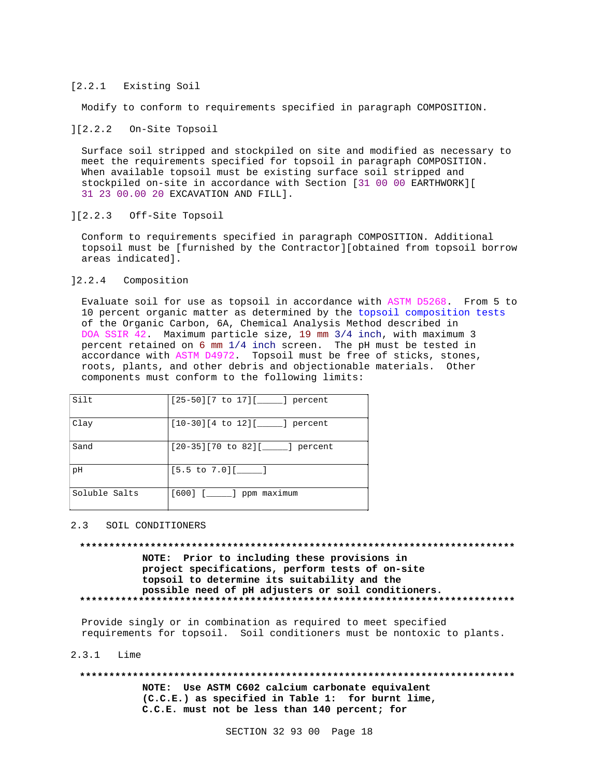### [2.2.1 Existing Soil

Modify to conform to requirements specified in paragraph COMPOSITION.

#### ][2.2.2 On-Site Topsoil

Surface soil stripped and stockpiled on site and modified as necessary to meet the requirements specified for topsoil in paragraph COMPOSITION. When available topsoil must be existing surface soil stripped and stockpiled on-site in accordance with Section [31 00 00 EARTHWORK][ 31 23 00.00 20 EXCAVATION AND FILL].

### ][2.2.3 Off-Site Topsoil

Conform to requirements specified in paragraph COMPOSITION. Additional topsoil must be [furnished by the Contractor][obtained from topsoil borrow areas indicated].

## ]2.2.4 Composition

Evaluate soil for use as topsoil in accordance with ASTM D5268. From 5 to 10 percent organic matter as determined by the topsoil composition tests of the Organic Carbon, 6A, Chemical Analysis Method described in DOA SSIR 42. Maximum particle size, 19 mm 3/4 inch, with maximum 3 percent retained on 6 mm 1/4 inch screen. The pH must be tested in accordance with ASTM D4972. Topsoil must be free of sticks, stones, roots, plants, and other debris and objectionable materials. Other components must conform to the following limits:

| Silt          | $[25-50][7$ to $17][$ [ ] percent     |
|---------------|---------------------------------------|
| Clay          | $[10-30][4$ to $12][$ [10-30]         |
| Sand          | $[20-35][70$ to $82][$ _____] percent |
| рH            | $[5.5 \text{ to } 7.0]$ [_______]     |
| Soluble Salts | $[600]$ $[$ $]$ ppm maximum           |

#### 2.3 SOIL CONDITIONERS

**\*\*\*\*\*\*\*\*\*\*\*\*\*\*\*\*\*\*\*\*\*\*\*\*\*\*\*\*\*\*\*\*\*\*\*\*\*\*\*\*\*\*\*\*\*\*\*\*\*\*\*\*\*\*\*\*\*\*\*\*\*\*\*\*\*\*\*\*\*\*\*\*\*\* NOTE: Prior to including these provisions in project specifications, perform tests of on-site topsoil to determine its suitability and the possible need of pH adjusters or soil conditioners. \*\*\*\*\*\*\*\*\*\*\*\*\*\*\*\*\*\*\*\*\*\*\*\*\*\*\*\*\*\*\*\*\*\*\*\*\*\*\*\*\*\*\*\*\*\*\*\*\*\*\*\*\*\*\*\*\*\*\*\*\*\*\*\*\*\*\*\*\*\*\*\*\*\***

Provide singly or in combination as required to meet specified requirements for topsoil. Soil conditioners must be nontoxic to plants.

#### 2.3.1 Lime

# **\*\*\*\*\*\*\*\*\*\*\*\*\*\*\*\*\*\*\*\*\*\*\*\*\*\*\*\*\*\*\*\*\*\*\*\*\*\*\*\*\*\*\*\*\*\*\*\*\*\*\*\*\*\*\*\*\*\*\*\*\*\*\*\*\*\*\*\*\*\*\*\*\*\***

**NOTE: Use ASTM C602 calcium carbonate equivalent (C.C.E.) as specified in Table 1: for burnt lime, C.C.E. must not be less than 140 percent; for**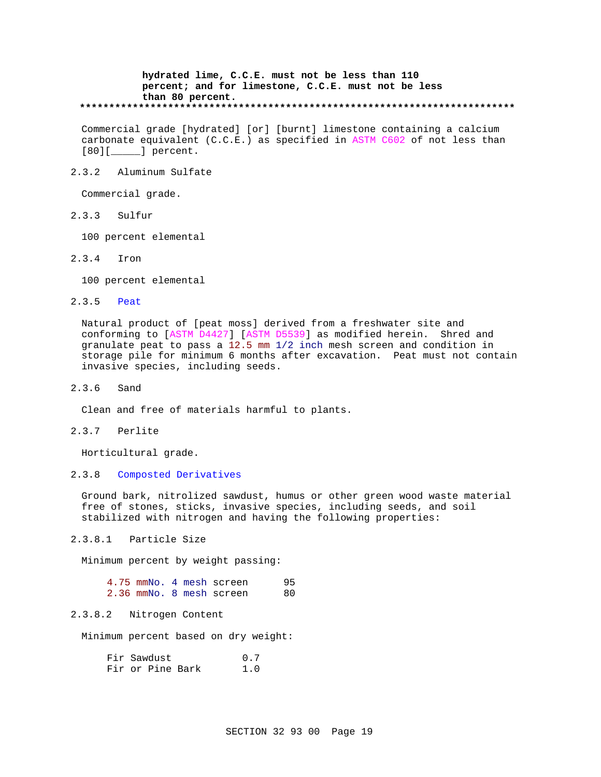## **hydrated lime, C.C.E. must not be less than 110 percent; and for limestone, C.C.E. must not be less than 80 percent. \*\*\*\*\*\*\*\*\*\*\*\*\*\*\*\*\*\*\*\*\*\*\*\*\*\*\*\*\*\*\*\*\*\*\*\*\*\*\*\*\*\*\*\*\*\*\*\*\*\*\*\*\*\*\*\*\*\*\*\*\*\*\*\*\*\*\*\*\*\*\*\*\*\***

Commercial grade [hydrated] [or] [burnt] limestone containing a calcium carbonate equivalent (C.C.E.) as specified in ASTM C602 of not less than [80][ ] percent.

## 2.3.2 Aluminum Sulfate

Commercial grade.

2.3.3 Sulfur

100 percent elemental

2.3.4 Iron

100 percent elemental

2.3.5 Peat

Natural product of [peat moss] derived from a freshwater site and conforming to [ASTM D4427] [ASTM D5539] as modified herein. Shred and granulate peat to pass a 12.5 mm 1/2 inch mesh screen and condition in storage pile for minimum 6 months after excavation. Peat must not contain invasive species, including seeds.

2.3.6 Sand

Clean and free of materials harmful to plants.

2.3.7 Perlite

Horticultural grade.

2.3.8 Composted Derivatives

Ground bark, nitrolized sawdust, humus or other green wood waste material free of stones, sticks, invasive species, including seeds, and soil stabilized with nitrogen and having the following properties:

2.3.8.1 Particle Size

Minimum percent by weight passing:

|  |  | 4.75 mmNo. 4 mesh screen | 95 |
|--|--|--------------------------|----|
|  |  | 2.36 mmNo. 8 mesh screen | 80 |

## 2.3.8.2 Nitrogen Content

Minimum percent based on dry weight:

| Fir Sawdust |                  |  | 0.7 |
|-------------|------------------|--|-----|
|             | Fir or Pine Bark |  | 1.0 |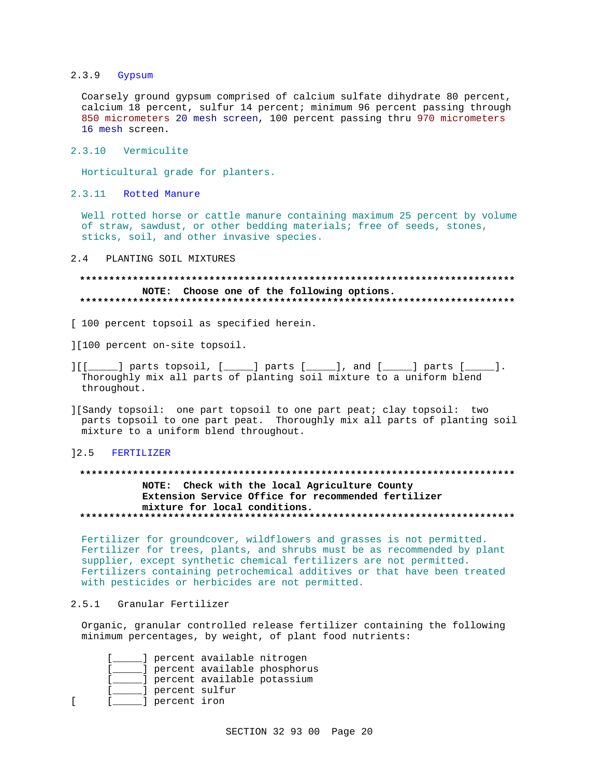#### $2.3.9$ Gypsum

Coarsely ground gypsum comprised of calcium sulfate dihydrate 80 percent, calcium 18 percent, sulfur 14 percent; minimum 96 percent passing through 850 micrometers 20 mesh screen, 100 percent passing thru 970 micrometers 16 mesh screen.

2.3.10 Vermiculite

Horticultural grade for planters.

2.3.11 Rotted Manure

Well rotted horse or cattle manure containing maximum 25 percent by volume of straw, sawdust, or other bedding materials; free of seeds, stones, sticks, soil, and other invasive species.

 $2.4$ PLANTING SOIL MIXTURES

## NOTE: Choose one of the following options.

- [ 100 percent topsoil as specified herein.
- ][100 percent on-site topsoil.
- $] [[ ] ] ]$  parts topsoil,  $[ ] ]$  parts  $[ ] ]$ , and  $[ ] ]$  parts  $[ ] ]$ . Thoroughly mix all parts of planting soil mixture to a uniform blend throughout.
- ][Sandy topsoil: one part topsoil to one part peat; clay topsoil: two parts topsoil to one part peat. Thoroughly mix all parts of planting soil mixture to a uniform blend throughout.

#### $] 2.5$ FERTILIZER

# NOTE: Check with the local Agriculture County Extension Service Office for recommended fertilizer mixture for local conditions.

Fertilizer for groundcover, wildflowers and grasses is not permitted. Fertilizer for trees, plants, and shrubs must be as recommended by plant supplier, except synthetic chemical fertilizers are not permitted. Fertilizers containing petrochemical additives or that have been treated with pesticides or herbicides are not permitted.

#### $2.5.1$ Granular Fertilizer

 $\Gamma$ 

Organic, granular controlled release fertilizer containing the following minimum percentages, by weight, of plant food nutrients:

|                | ] percent available nitrogen  |                              |
|----------------|-------------------------------|------------------------------|
|                |                               | dercent available phosphorus |
|                | ] percent available potassium |                              |
| percent sulfur |                               |                              |
| percent iron   |                               |                              |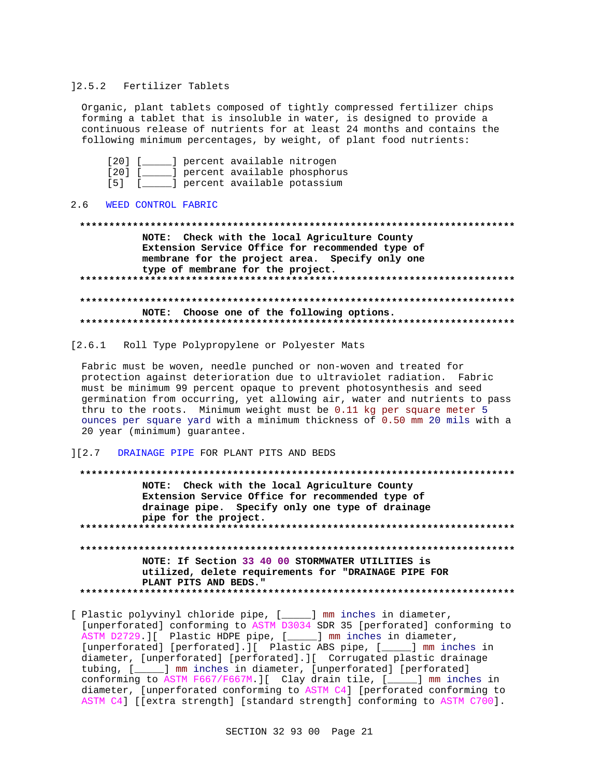#### 12.5.2 Fertilizer Tablets

Organic, plant tablets composed of tightly compressed fertilizer chips forming a tablet that is insoluble in water, is designed to provide a continuous release of nutrients for at least 24 months and contains the following minimum percentages, by weight, of plant food nutrients:

[20] [\_\_\_\_\_] percent available nitrogen [20] [\_\_\_\_\_] percent available phosphorus [5] [\_\_\_\_\_] percent available potassium

#### $2.6$ WEED CONTROL FABRIC

NOTE: Check with the local Agriculture County Extension Service Office for recommended type of membrane for the project area. Specify only one type of membrane for the project. NOTE: Choose one of the following options. 

[2.6.1 Roll Type Polypropylene or Polyester Mats

Fabric must be woven, needle punched or non-woven and treated for protection against deterioration due to ultraviolet radiation. Fabric must be minimum 99 percent opaque to prevent photosynthesis and seed germination from occurring, yet allowing air, water and nutrients to pass thru to the roots. Minimum weight must be 0.11 kg per square meter 5 ounces per square yard with a minimum thickness of 0.50 mm 20 mils with a 20 year (minimum) guarantee.

## ][2.7 DRAINAGE PIPE FOR PLANT PITS AND BEDS

NOTE: Check with the local Agriculture County Extension Service Office for recommended type of drainage pipe. Specify only one type of drainage pipe for the project. NOTE: If Section 33 40 00 STORMWATER UTILITIES is utilized, delete requirements for "DRAINAGE PIPE FOR PLANT PITS AND BEDS." 

[ Plastic polyvinyl chloride pipe, [ \_\_\_\_ ] mm inches in diameter, [unperforated] conforming to ASTM D3034 SDR 35 [perforated] conforming to ASTM D2729. I Plastic HDPE pipe, [\_\_\_\_\_] mm inches in diameter, [unperforated] [perforated].][ Plastic ABS pipe, [\_\_\_\_] mm inches in diameter, [unperforated] [perforated].][ Corrugated plastic drainage tubing, [\_\_\_\_] mm inches in diameter, [unperforated] [perforated] conforming to ASTM F667/F667M. I Clay drain tile, [\_\_\_\_] mm inches in diameter, [unperforated conforming to ASTM C4] [perforated conforming to ASTM C4] [[extra strength] [standard strength] conforming to ASTM C700].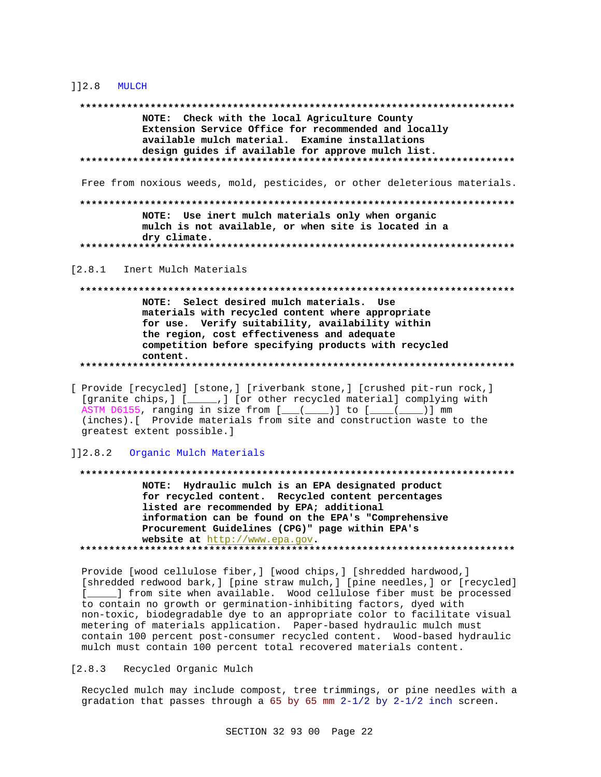#### $112.8$  MULCH

NOTE: Check with the local Agriculture County Extension Service Office for recommended and locally available mulch material. Examine installations design guides if available for approve mulch list. 

Free from noxious weeds, mold, pesticides, or other deleterious materials.

NOTE: Use inert mulch materials only when organic mulch is not available, or when site is located in a dry climate. 

 $[2.8.1]$ Inert Mulch Materials

NOTE: Select desired mulch materials. Use materials with recycled content where appropriate for use. Verify suitability, availability within the region, cost effectiveness and adequate competition before specifying products with recycled content. 

[ Provide [recycled] [stone, ] [riverbank stone, ] [crushed pit-run rock, ] [granite chips, ] [\_\_\_\_\_,] [or other recycled material] complying with ASTM D6155, ranging in size from [\_\_(\_\_\_)] to [\_\_\_(\_\_\_)] mm (inches). [ Provide materials from site and construction waste to the greatest extent possible.]

]]2.8.2 Organic Mulch Materials

NOTE: Hydraulic mulch is an EPA designated product for recycled content. Recycled content percentages listed are recommended by EPA; additional information can be found on the EPA's "Comprehensive Procurement Guidelines (CPG)" page within EPA's website at http://www.epa.gov. 

Provide [wood cellulose fiber, ] [wood chips, ] [shredded hardwood, ] [shredded redwood bark,] [pine straw mulch,] [pine needles,] or [recycled] [ ] from site when available. Wood cellulose fiber must be processed to contain no growth or germination-inhibiting factors, dyed with non-toxic, biodegradable dye to an appropriate color to facilitate visual metering of materials application. Paper-based hydraulic mulch must contain 100 percent post-consumer recycled content. Wood-based hydraulic mulch must contain 100 percent total recovered materials content.

[2.8.3 Recycled Organic Mulch

Recycled mulch may include compost, tree trimmings, or pine needles with a gradation that passes through a 65 by 65 mm  $2-1/2$  by  $2-1/2$  inch screen.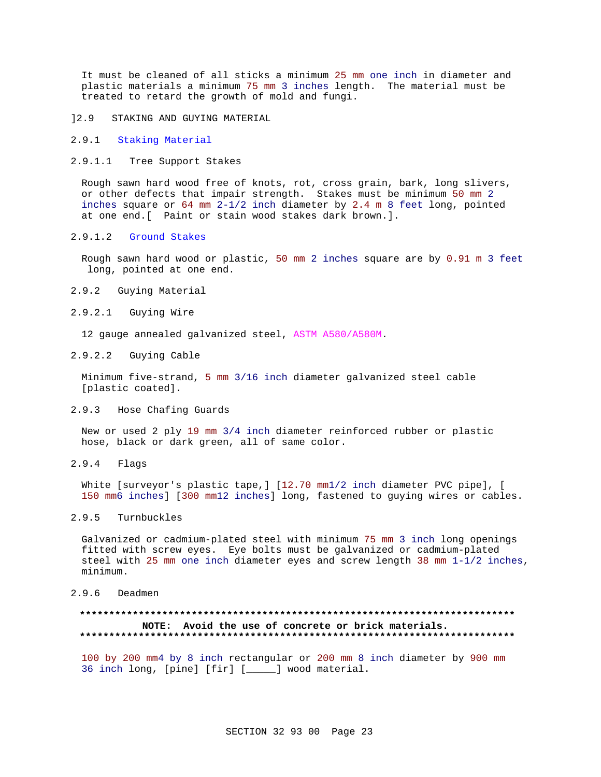It must be cleaned of all sticks a minimum 25 mm one inch in diameter and plastic materials a minimum 75 mm 3 inches length. The material must be treated to retard the growth of mold and fungi.

]2.9 STAKING AND GUYING MATERIAL

- 2.9.1 Staking Material
- 2.9.1.1 Tree Support Stakes

Rough sawn hard wood free of knots, rot, cross grain, bark, long slivers, or other defects that impair strength. Stakes must be minimum 50 mm 2 inches square or 64 mm 2-1/2 inch diameter by 2.4 m 8 feet long, pointed at one end.[ Paint or stain wood stakes dark brown.].

## 2.9.1.2 Ground Stakes

Rough sawn hard wood or plastic, 50 mm 2 inches square are by 0.91 m 3 feet long, pointed at one end.

- 2.9.2 Guying Material
- 2.9.2.1 Guying Wire

12 gauge annealed galvanized steel, ASTM A580/A580M.

2.9.2.2 Guying Cable

Minimum five-strand, 5 mm 3/16 inch diameter galvanized steel cable [plastic coated].

2.9.3 Hose Chafing Guards

New or used 2 ply 19 mm 3/4 inch diameter reinforced rubber or plastic hose, black or dark green, all of same color.

2.9.4 Flags

White [surveyor's plastic tape,] [12.70 mm1/2 inch diameter PVC pipe], [ 150 mm6 inches] [300 mm12 inches] long, fastened to guying wires or cables.

## 2.9.5 Turnbuckles

Galvanized or cadmium-plated steel with minimum 75 mm 3 inch long openings fitted with screw eyes. Eye bolts must be galvanized or cadmium-plated steel with 25 mm one inch diameter eyes and screw length 38 mm 1-1/2 inches, minimum.

2.9.6 Deadmen

## **\*\*\*\*\*\*\*\*\*\*\*\*\*\*\*\*\*\*\*\*\*\*\*\*\*\*\*\*\*\*\*\*\*\*\*\*\*\*\*\*\*\*\*\*\*\*\*\*\*\*\*\*\*\*\*\*\*\*\*\*\*\*\*\*\*\*\*\*\*\*\*\*\*\* NOTE: Avoid the use of concrete or brick materials. \*\*\*\*\*\*\*\*\*\*\*\*\*\*\*\*\*\*\*\*\*\*\*\*\*\*\*\*\*\*\*\*\*\*\*\*\*\*\*\*\*\*\*\*\*\*\*\*\*\*\*\*\*\*\*\*\*\*\*\*\*\*\*\*\*\*\*\*\*\*\*\*\*\***

100 by 200 mm4 by 8 inch rectangular or 200 mm 8 inch diameter by 900 mm 36 inch long, [pine] [fir] [\_\_\_\_\_] wood material.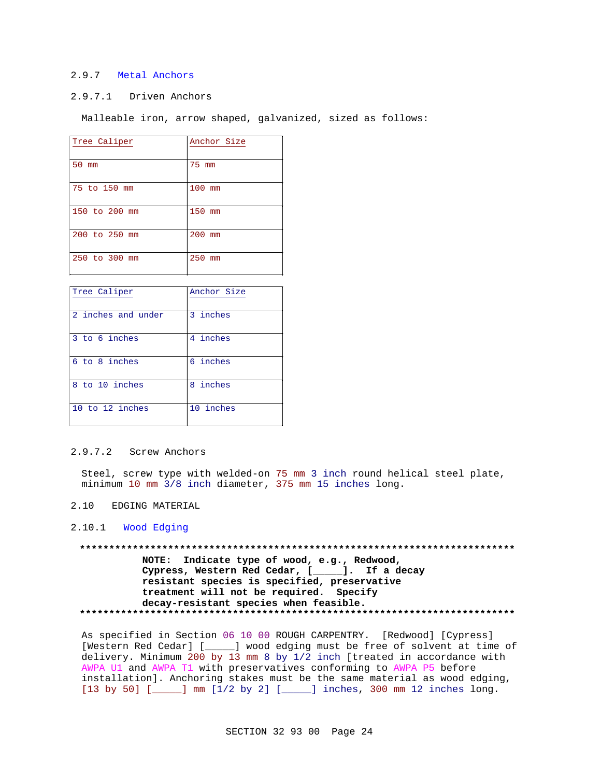## 2.9.7 Metal Anchors

# 2.9.7.1 Driven Anchors

Malleable iron, arrow shaped, galvanized, sized as follows:

| Tree Caliper  | Anchor Size |
|---------------|-------------|
| 50<br>mm      | 75 mm       |
| 75 to 150 mm  | 100 mm      |
| 150 to 200 mm | 150 mm      |
| 200 to 250 mm | 200 mm      |
| 250 to 300 mm | 250<br>mm   |

| Tree Caliper       | Anchor Size |
|--------------------|-------------|
| 2 inches and under | 3 inches    |
| 3 to 6 inches      | 4 inches    |
| 6 to 8 inches      | 6 inches    |
| to 10 inches<br>8  | 8 inches    |
| 10 to 12 inches    | 10 inches   |

# 2.9.7.2 Screw Anchors

Steel, screw type with welded-on 75 mm 3 inch round helical steel plate, minimum 10 mm 3/8 inch diameter, 375 mm 15 inches long.

2.10 EDGING MATERIAL

2.10.1 Wood Edging

**\*\*\*\*\*\*\*\*\*\*\*\*\*\*\*\*\*\*\*\*\*\*\*\*\*\*\*\*\*\*\*\*\*\*\*\*\*\*\*\*\*\*\*\*\*\*\*\*\*\*\*\*\*\*\*\*\*\*\*\*\*\*\*\*\*\*\*\*\*\*\*\*\*\* NOTE: Indicate type of wood, e.g., Redwood, Cypress, Western Red Cedar, [\_\_\_\_\_]. If a decay resistant species is specified, preservative treatment will not be required. Specify decay-resistant species when feasible. \*\*\*\*\*\*\*\*\*\*\*\*\*\*\*\*\*\*\*\*\*\*\*\*\*\*\*\*\*\*\*\*\*\*\*\*\*\*\*\*\*\*\*\*\*\*\*\*\*\*\*\*\*\*\*\*\*\*\*\*\*\*\*\*\*\*\*\*\*\*\*\*\*\***

As specified in Section 06 10 00 ROUGH CARPENTRY. [Redwood] [Cypress] [Western Red Cedar] [\_\_\_\_\_] wood edging must be free of solvent at time of delivery. Minimum 200 by 13 mm 8 by 1/2 inch [treated in accordance with AWPA U1 and AWPA T1 with preservatives conforming to AWPA P5 before installation]. Anchoring stakes must be the same material as wood edging, [13 by 50] [\_\_\_\_\_] mm [1/2 by 2] [\_\_\_\_\_] inches, 300 mm 12 inches long.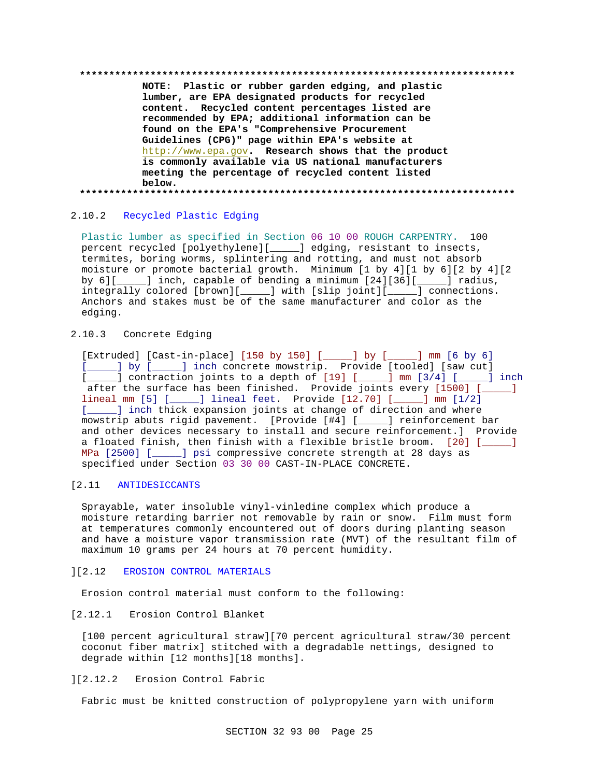**\*\*\*\*\*\*\*\*\*\*\*\*\*\*\*\*\*\*\*\*\*\*\*\*\*\*\*\*\*\*\*\*\*\*\*\*\*\*\*\*\*\*\*\*\*\*\*\*\*\*\*\*\*\*\*\*\*\*\*\*\*\*\*\*\*\*\*\*\*\*\*\*\*\***

**NOTE: Plastic or rubber garden edging, and plastic lumber, are EPA designated products for recycled content. Recycled content percentages listed are recommended by EPA; additional information can be found on the EPA's "Comprehensive Procurement Guidelines (CPG)" page within EPA's website at** http://www.epa.gov**. Research shows that the product is commonly available via US national manufacturers meeting the percentage of recycled content listed below. \*\*\*\*\*\*\*\*\*\*\*\*\*\*\*\*\*\*\*\*\*\*\*\*\*\*\*\*\*\*\*\*\*\*\*\*\*\*\*\*\*\*\*\*\*\*\*\*\*\*\*\*\*\*\*\*\*\*\*\*\*\*\*\*\*\*\*\*\*\*\*\*\*\***

## 2.10.2 Recycled Plastic Edging

Plastic lumber as specified in Section 06 10 00 ROUGH CARPENTRY. 100 percent recycled [polyethylene][\_\_\_\_\_] edging, resistant to insects, termites, boring worms, splintering and rotting, and must not absorb moisture or promote bacterial growth. Minimum [1 by 4][1 by 6][2 by 4][2 by 6][\_\_\_\_\_] inch, capable of bending a minimum [24][36][\_\_\_\_\_] radius, integrally colored [brown][\_\_\_\_\_] with [slip joint][\_\_\_\_\_] connections. Anchors and stakes must be of the same manufacturer and color as the edging.

## 2.10.3 Concrete Edging

[Extruded] [Cast-in-place] [150 by 150] [\_\_\_\_\_] by [\_\_\_\_\_] mm [6 by 6] [\_\_\_\_\_] by [\_\_\_\_\_] inch concrete mowstrip. Provide [tooled] [saw cut] [\_\_\_\_\_] contraction joints to a depth of [19] [\_\_\_\_] mm [3/4] [\_\_\_\_] inch after the surface has been finished. Provide joints every [1500] [\_\_\_\_\_] lineal mm [5] [\_\_\_\_\_] lineal feet. Provide [12.70] [\_\_\_\_\_] mm [1/2] [*\_\_\_\_*] inch thick expansion joints at change of direction and where mowstrip abuts rigid pavement. [Provide [#4] [\_\_\_\_\_] reinforcement bar and other devices necessary to install and secure reinforcement.] Provide a floated finish, then finish with a flexible bristle broom. [20] [\_\_\_\_\_] MPa [2500] [\_\_\_\_\_] psi compressive concrete strength at 28 days as specified under Section 03 30 00 CAST-IN-PLACE CONCRETE.

# [2.11 ANTIDESICCANTS

Sprayable, water insoluble vinyl-vinledine complex which produce a moisture retarding barrier not removable by rain or snow. Film must form at temperatures commonly encountered out of doors during planting season and have a moisture vapor transmission rate (MVT) of the resultant film of maximum 10 grams per 24 hours at 70 percent humidity.

#### ][2.12 EROSION CONTROL MATERIALS

Erosion control material must conform to the following:

## [2.12.1 Erosion Control Blanket

[100 percent agricultural straw][70 percent agricultural straw/30 percent coconut fiber matrix] stitched with a degradable nettings, designed to degrade within [12 months][18 months].

# ][2.12.2 Erosion Control Fabric

Fabric must be knitted construction of polypropylene yarn with uniform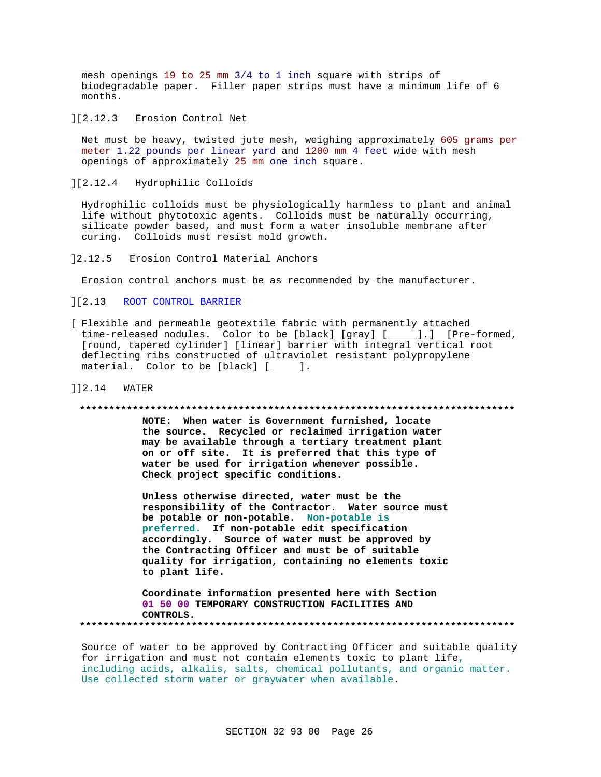mesh openings 19 to 25 mm 3/4 to 1 inch square with strips of biodegradable paper. Filler paper strips must have a minimum life of 6 months.

][2.12.3 Erosion Control Net

Net must be heavy, twisted jute mesh, weighing approximately 605 grams per meter 1.22 pounds per linear yard and 1200 mm 4 feet wide with mesh openings of approximately 25 mm one inch square.

][2.12.4 Hydrophilic Colloids

Hydrophilic colloids must be physiologically harmless to plant and animal life without phytotoxic agents. Colloids must be naturally occurring, silicate powder based, and must form a water insoluble membrane after curing. Colloids must resist mold growth.

]2.12.5 Erosion Control Material Anchors

Erosion control anchors must be as recommended by the manufacturer.

- ][2.13 ROOT CONTROL BARRIER
- [ Flexible and permeable geotextile fabric with permanently attached time-released nodules. Color to be [black] [gray] [\_\_\_\_\_].] [Pre-formed, [round, tapered cylinder] [linear] barrier with integral vertical root deflecting ribs constructed of ultraviolet resistant polypropylene material. Color to be [black] [\_\_\_\_\_].
- ]]2.14 WATER

#### **\*\*\*\*\*\*\*\*\*\*\*\*\*\*\*\*\*\*\*\*\*\*\*\*\*\*\*\*\*\*\*\*\*\*\*\*\*\*\*\*\*\*\*\*\*\*\*\*\*\*\*\*\*\*\*\*\*\*\*\*\*\*\*\*\*\*\*\*\*\*\*\*\*\***

**NOTE: When water is Government furnished, locate the source. Recycled or reclaimed irrigation water may be available through a tertiary treatment plant on or off site. It is preferred that this type of water be used for irrigation whenever possible. Check project specific conditions.**

**Unless otherwise directed, water must be the responsibility of the Contractor. Water source must be potable or non-potable. Non-potable is preferred. If non-potable edit specification accordingly. Source of water must be approved by the Contracting Officer and must be of suitable quality for irrigation, containing no elements toxic to plant life.**

**Coordinate information presented here with Section 01 50 00 TEMPORARY CONSTRUCTION FACILITIES AND CONTROLS. \*\*\*\*\*\*\*\*\*\*\*\*\*\*\*\*\*\*\*\*\*\*\*\*\*\*\*\*\*\*\*\*\*\*\*\*\*\*\*\*\*\*\*\*\*\*\*\*\*\*\*\*\*\*\*\*\*\*\*\*\*\*\*\*\*\*\*\*\*\*\*\*\*\***

Source of water to be approved by Contracting Officer and suitable quality for irrigation and must not contain elements toxic to plant life, including acids, alkalis, salts, chemical pollutants, and organic matter. Use collected storm water or graywater when available.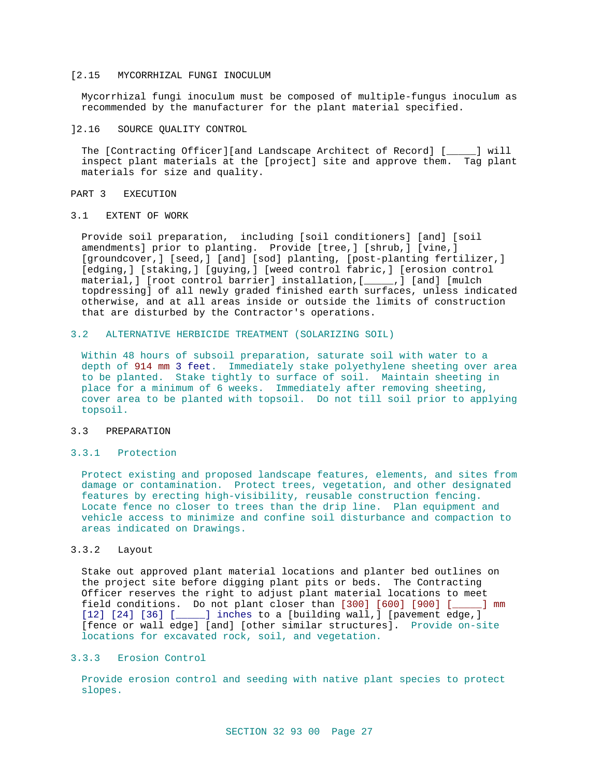### [2.15 MYCORRHIZAL FUNGI INOCULUM

Mycorrhizal fungi inoculum must be composed of multiple-fungus inoculum as recommended by the manufacturer for the plant material specified.

### ]2.16 SOURCE QUALITY CONTROL

The [Contracting Officer][and Landscape Architect of Record] [\_\_\_\_\_] will inspect plant materials at the [project] site and approve them. Tag plant materials for size and quality.

#### PART 3 EXECUTION

## 3.1 EXTENT OF WORK

Provide soil preparation, including [soil conditioners] [and] [soil amendments] prior to planting. Provide [tree,] [shrub,] [vine,] [groundcover,] [seed,] [and] [sod] planting, [post-planting fertilizer,] [edging,] [staking,] [guying,] [weed control fabric,] [erosion control material,] [root control barrier] installation,[\_\_\_\_\_,] [and] [mulch topdressing] of all newly graded finished earth surfaces, unless indicated otherwise, and at all areas inside or outside the limits of construction that are disturbed by the Contractor's operations.

## 3.2 ALTERNATIVE HERBICIDE TREATMENT (SOLARIZING SOIL)

Within 48 hours of subsoil preparation, saturate soil with water to a depth of 914 mm 3 feet. Immediately stake polyethylene sheeting over area to be planted. Stake tightly to surface of soil. Maintain sheeting in place for a minimum of 6 weeks. Immediately after removing sheeting, cover area to be planted with topsoil. Do not till soil prior to applying topsoil.

## 3.3 PREPARATION

## 3.3.1 Protection

Protect existing and proposed landscape features, elements, and sites from damage or contamination. Protect trees, vegetation, and other designated features by erecting high-visibility, reusable construction fencing. Locate fence no closer to trees than the drip line. Plan equipment and vehicle access to minimize and confine soil disturbance and compaction to areas indicated on Drawings.

## 3.3.2 Layout

Stake out approved plant material locations and planter bed outlines on the project site before digging plant pits or beds. The Contracting Officer reserves the right to adjust plant material locations to meet field conditions. Do not plant closer than [300] [600] [900] [\_\_\_\_\_] mm [12] [24] [36] [\_\_\_\_\_] inches to a [building wall, ] [pavement edge, ] [fence or wall edge] [and] [other similar structures]. Provide on-site locations for excavated rock, soil, and vegetation.

## 3.3.3 Erosion Control

Provide erosion control and seeding with native plant species to protect slopes.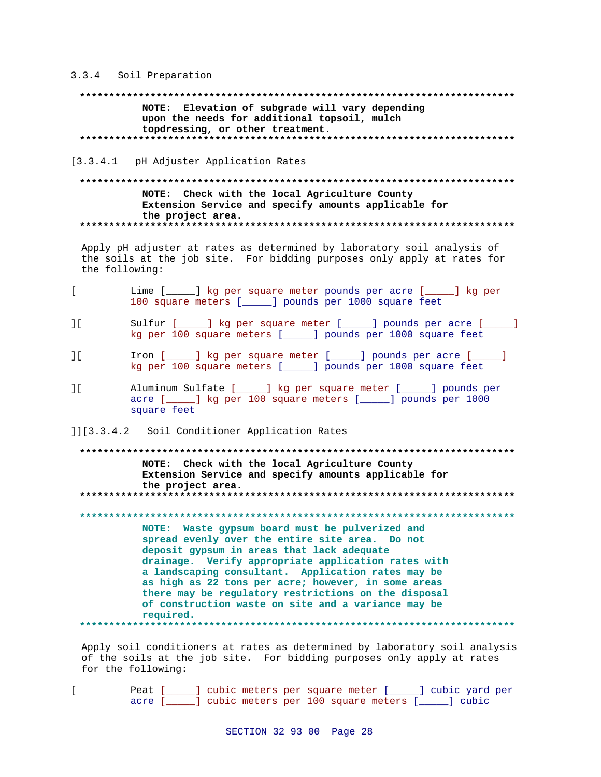## 3.3.4 Soil Preparation

NOTE: Elevation of subgrade will vary depending upon the needs for additional topsoil, mulch topdressing, or other treatment. 

## [3.3.4.1 pH Adjuster Application Rates

## NOTE: Check with the local Agriculture County Extension Service and specify amounts applicable for the project area.

Apply pH adjuster at rates as determined by laboratory soil analysis of the soils at the job site. For bidding purposes only apply at rates for the following:

- $\mathbf{r}$ Lime [\_\_\_\_\_] kg per square meter pounds per acre [\_\_\_\_\_] kg per 100 square meters [\_\_\_\_\_] pounds per 1000 square feet
- $\overline{\phantom{a}}$ Sulfur [\_\_\_\_\_] kg per square meter [\_\_\_\_\_] pounds per acre [\_\_\_\_\_] kg per 100 square meters [\_\_\_\_\_] pounds per 1000 square feet
- Iron [\_\_\_\_\_] kg per square meter [\_\_\_\_\_] pounds per acre [\_\_\_\_\_]  $\overline{\phantom{a}}$ kg per 100 square meters [\_\_\_\_\_] pounds per 1000 square feet
- Aluminum Sulfate [\_\_\_\_\_] kg per square meter [\_\_\_\_] pounds per  $\overline{\phantom{a}}$ acre [\_\_\_\_\_] kg per 100 square meters [\_\_\_\_\_] pounds per 1000 square feet
- ]][3.3.4.2 Soil Conditioner Application Rates

# NOTE: Check with the local Agriculture County Extension Service and specify amounts applicable for the project area.

NOTE: Waste gypsum board must be pulverized and spread evenly over the entire site area. Do not deposit gypsum in areas that lack adequate drainage. Verify appropriate application rates with a landscaping consultant. Application rates may be as high as 22 tons per acre; however, in some areas there may be regulatory restrictions on the disposal of construction waste on site and a variance may be required. 

Apply soil conditioners at rates as determined by laboratory soil analysis of the soils at the job site. For bidding purposes only apply at rates for the following:

 $\Gamma$ 

Peat [\_\_\_\_\_] cubic meters per square meter [\_\_\_\_] cubic yard per acre [\_\_\_\_\_] cubic meters per 100 square meters [\_\_\_\_\_] cubic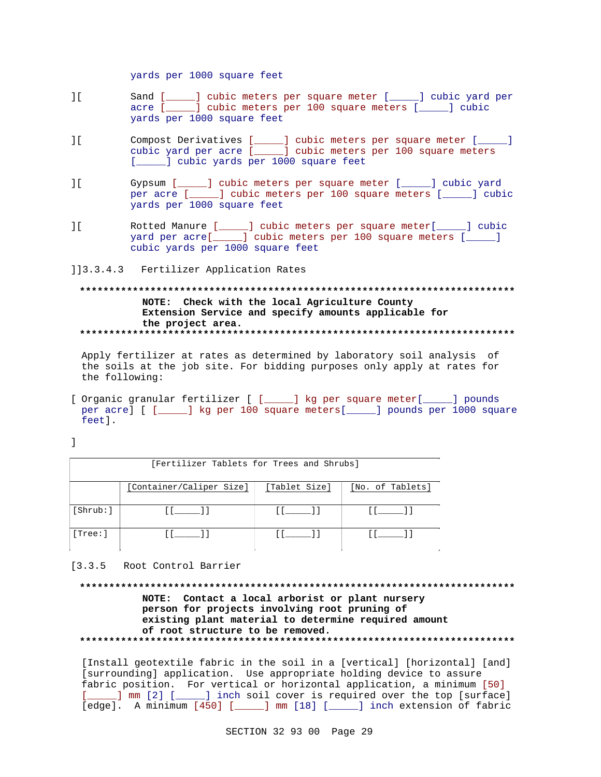yards per 1000 square feet

- ][ Sand [\_\_\_\_\_] cubic meters per square meter [\_\_\_\_\_] cubic yard per acre [\_\_\_\_\_] cubic meters per 100 square meters [\_\_\_\_\_] cubic yards per 1000 square feet
- ][ Compost Derivatives [\_\_\_\_\_] cubic meters per square meter [\_\_\_\_\_] cubic yard per acre [\_\_\_\_\_] cubic meters per 100 square meters [*\_\_\_\_*] cubic yards per 1000 square feet
- ][ Gypsum [\_\_\_\_\_] cubic meters per square meter [\_\_\_\_\_] cubic yard per acre [\_\_\_\_\_] cubic meters per 100 square meters [\_\_\_\_\_] cubic yards per 1000 square feet
- ][ Rotted Manure [\_\_\_\_\_] cubic meters per square meter[\_\_\_\_\_] cubic yard per acre[\_\_\_\_\_] cubic meters per 100 square meters [\_\_\_\_\_] cubic yards per 1000 square feet
- ]]3.3.4.3 Fertilizer Application Rates

**\*\*\*\*\*\*\*\*\*\*\*\*\*\*\*\*\*\*\*\*\*\*\*\*\*\*\*\*\*\*\*\*\*\*\*\*\*\*\*\*\*\*\*\*\*\*\*\*\*\*\*\*\*\*\*\*\*\*\*\*\*\*\*\*\*\*\*\*\*\*\*\*\*\* NOTE: Check with the local Agriculture County Extension Service and specify amounts applicable for the project area. \*\*\*\*\*\*\*\*\*\*\*\*\*\*\*\*\*\*\*\*\*\*\*\*\*\*\*\*\*\*\*\*\*\*\*\*\*\*\*\*\*\*\*\*\*\*\*\*\*\*\*\*\*\*\*\*\*\*\*\*\*\*\*\*\*\*\*\*\*\*\*\*\*\***

Apply fertilizer at rates as determined by laboratory soil analysis of the soils at the job site. For bidding purposes only apply at rates for the following:

[ Organic granular fertilizer [ [\_\_\_\_\_] kg per square meter[\_\_\_\_\_] pounds per acre] [ [\_\_\_\_\_] kg per 100 square meters[\_\_\_\_\_] pounds per 1000 square feet].

]

| [Fertilizer Tablets for Trees and Shrubs] |                          |                   |                  |  |  |
|-------------------------------------------|--------------------------|-------------------|------------------|--|--|
|                                           | [Container/Caliper Size] | [Tablet Size]     | [No. of Tablets] |  |  |
| [Shrub: ]                                 | 11. 11.                  | $\prod_{i=1}^{n}$ |                  |  |  |
| [Tree: ]                                  |                          |                   |                  |  |  |

[3.3.5 Root Control Barrier

# **\*\*\*\*\*\*\*\*\*\*\*\*\*\*\*\*\*\*\*\*\*\*\*\*\*\*\*\*\*\*\*\*\*\*\*\*\*\*\*\*\*\*\*\*\*\*\*\*\*\*\*\*\*\*\*\*\*\*\*\*\*\*\*\*\*\*\*\*\*\*\*\*\*\* NOTE: Contact a local arborist or plant nursery person for projects involving root pruning of existing plant material to determine required amount of root structure to be removed. \*\*\*\*\*\*\*\*\*\*\*\*\*\*\*\*\*\*\*\*\*\*\*\*\*\*\*\*\*\*\*\*\*\*\*\*\*\*\*\*\*\*\*\*\*\*\*\*\*\*\*\*\*\*\*\*\*\*\*\*\*\*\*\*\*\*\*\*\*\*\*\*\*\***

[Install geotextile fabric in the soil in a [vertical] [horizontal] [and] [surrounding] application. Use appropriate holding device to assure fabric position. For vertical or horizontal application, a minimum [50] [\_\_\_\_\_] mm [2] [\_\_\_\_\_] inch soil cover is required over the top [surface] [edge]. A minimum [450] [\_\_\_\_\_] mm [18] [\_\_\_\_\_] inch extension of fabric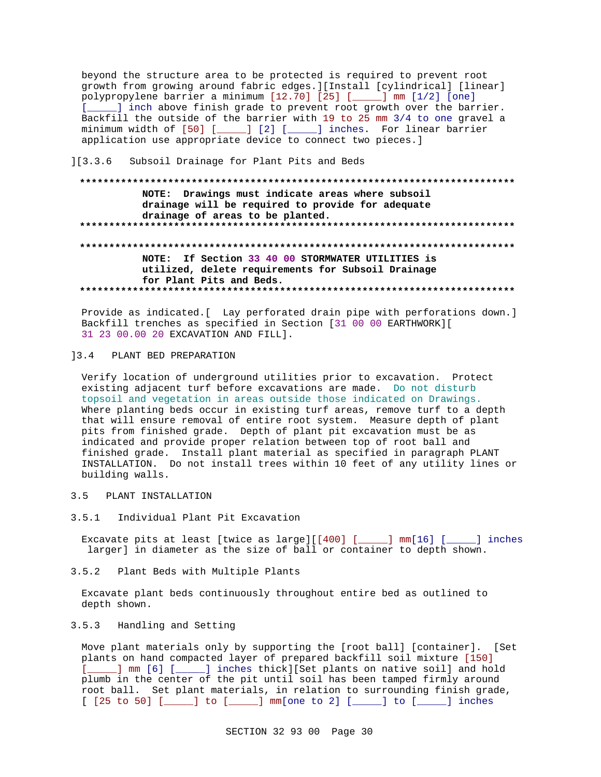beyond the structure area to be protected is required to prevent root growth from growing around fabric edges. [[Install [cylindrical] [linear] polypropylene barrier a minimum [12.70] [25] [\_\_\_\_] mm [1/2] [one] [ \_\_\_\_ ] inch above finish grade to prevent root growth over the barrier. Backfill the outside of the barrier with 19 to 25 mm 3/4 to one gravel a minimum width of [50] [\_\_\_\_\_] [2] [\_\_\_\_\_] inches. For linear barrier application use appropriate device to connect two pieces.]

#### $]$ [3.3.6] Subsoil Drainage for Plant Pits and Beds

# NOTE: Drawings must indicate areas where subsoil drainage will be required to provide for adequate drainage of areas to be planted. NOTE: If Section 33 40 00 STORMWATER UTILITIES is utilized, delete requirements for Subsoil Drainage for Plant Pits and Beds.

Provide as indicated. [ Lay perforated drain pipe with perforations down.] Backfill trenches as specified in Section [31 00 00 EARTHWORK][ 31 23 00.00 20 EXCAVATION AND FILL].

# 13.4 PLANT BED PREPARATION

Verify location of underground utilities prior to excavation. Protect existing adjacent turf before excavations are made. Do not disturb topsoil and vegetation in areas outside those indicated on Drawings. Where planting beds occur in existing turf areas, remove turf to a depth that will ensure removal of entire root system. Measure depth of plant pits from finished grade. Depth of plant pit excavation must be as indicated and provide proper relation between top of root ball and finished grade. Install plant material as specified in paragraph PLANT INSTALLATION. Do not install trees within 10 feet of any utility lines or building walls.

#### PLANT INSTALLATION  $3.5$

 $3.5.1$ Individual Plant Pit Excavation

Excavate pits at least [twice as large][[400] [\_\_\_\_\_] mm[16] [\_\_\_ \_] inches larger] in diameter as the size of ball or container to depth shown.

 $3.5.2$ Plant Beds with Multiple Plants

Excavate plant beds continuously throughout entire bed as outlined to depth shown.

#### $3.5.3$ Handling and Setting

Move plant materials only by supporting the [root ball] [container]. [Set plants on hand compacted layer of prepared backfill soil mixture [150] [\_\_\_\_\_] mm [6] [\_\_\_\_\_] inches thick][Set plants on native soil] and hold plumb in the center of the pit until soil has been tamped firmly around root ball. Set plant materials, in relation to surrounding finish grade,  $[$  [25 to 50] [\_\_\_\_\_] to [\_\_\_\_\_] mm[one to 2] [\_\_\_\_] to [\_\_\_\_\_] inches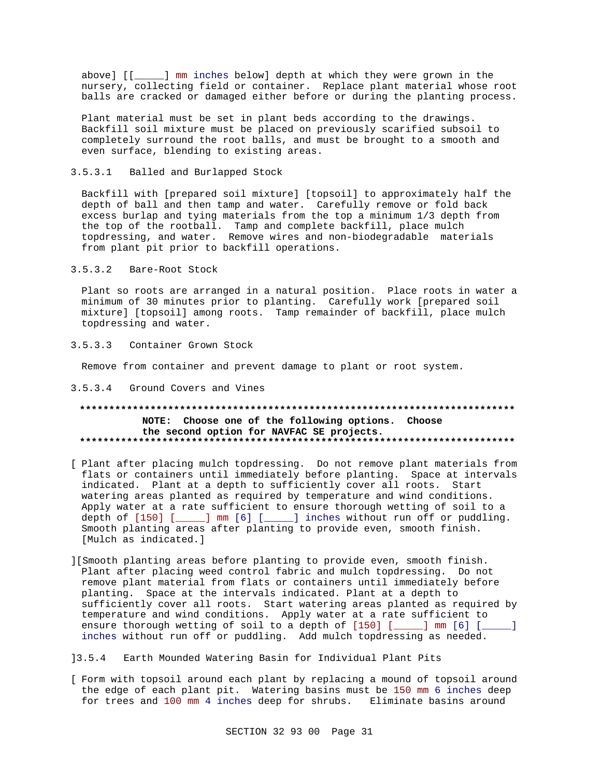above] [[ ] mm inches below] depth at which they were grown in the nursery, collecting field or container. Replace plant material whose root balls are cracked or damaged either before or during the planting process.

Plant material must be set in plant beds according to the drawings. Backfill soil mixture must be placed on previously scarified subsoil to completely surround the root balls, and must be brought to a smooth and even surface, blending to existing areas.

#### $3.5.3.1$ Balled and Burlapped Stock

Backfill with [prepared soil mixture] [topsoil] to approximately half the depth of ball and then tamp and water. Carefully remove or fold back excess burlap and tying materials from the top a minimum 1/3 depth from the top of the rootball. Tamp and complete backfill, place mulch topdressing, and water. Remove wires and non-biodegradable materials from plant pit prior to backfill operations.

#### $3.5.3.2$ Bare-Root Stock

Plant so roots are arranged in a natural position. Place roots in water a minimum of 30 minutes prior to planting. Carefully work [prepared soil mixture] [topsoil] among roots. Tamp remainder of backfill, place mulch topdressing and water.

#### $3.5.3.3$ Container Grown Stock

Remove from container and prevent damage to plant or root system.

#### 3.5.3.4 Ground Covers and Vines

#### \*\*\*\*\*\*\*\*\*\*\*\*\*\*\*\* NOTE: Choose one of the following options. Choose the second option for NAVFAC SE projects.

- [ Plant after placing mulch topdressing. Do not remove plant materials from flats or containers until immediately before planting. Space at intervals indicated. Plant at a depth to sufficiently cover all roots. Start watering areas planted as required by temperature and wind conditions. Apply water at a rate sufficient to ensure thorough wetting of soil to a depth of [150] [\_\_\_\_] mm [6] [\_\_\_\_] inches without run off or puddling. Smooth planting areas after planting to provide even, smooth finish. [Mulch as indicated.]
- ][Smooth planting areas before planting to provide even, smooth finish. Plant after placing weed control fabric and mulch topdressing. Do not remove plant material from flats or containers until immediately before planting. Space at the intervals indicated. Plant at a depth to sufficiently cover all roots. Start watering areas planted as required by temperature and wind conditions. Apply water at a rate sufficient to ensure thorough wetting of soil to a depth of [150] [\_\_\_\_] mm [6] [\_\_\_\_] inches without run off or puddling. Add mulch topdressing as needed.

## ]3.5.4 Earth Mounded Watering Basin for Individual Plant Pits

[ Form with topsoil around each plant by replacing a mound of topsoil around the edge of each plant pit. Watering basins must be 150 mm 6 inches deep for trees and 100 mm 4 inches deep for shrubs. Eliminate basins around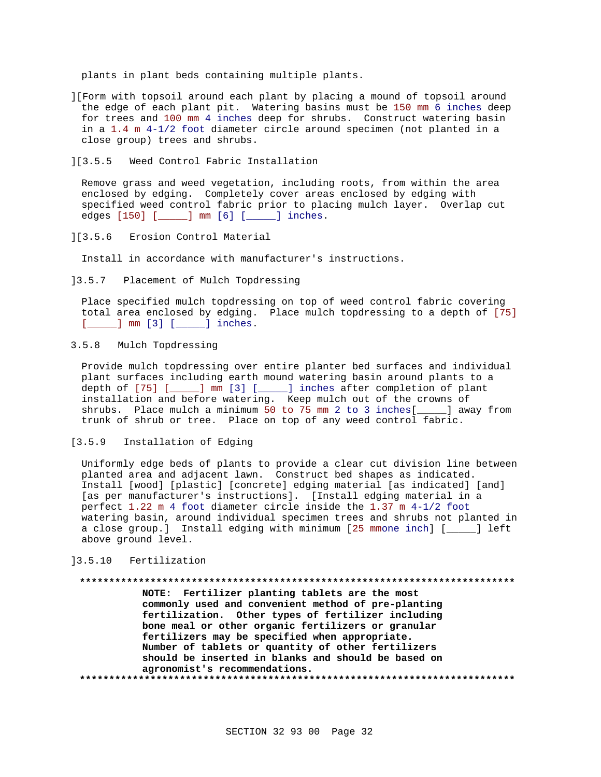plants in plant beds containing multiple plants.

- ][Form with topsoil around each plant by placing a mound of topsoil around the edge of each plant pit. Watering basins must be 150 mm 6 inches deep for trees and 100 mm 4 inches deep for shrubs. Construct watering basin in a 1.4 m 4-1/2 foot diameter circle around specimen (not planted in a close group) trees and shrubs.
- ][3.5.5 Weed Control Fabric Installation

Remove grass and weed vegetation, including roots, from within the area enclosed by edging. Completely cover areas enclosed by edging with specified weed control fabric prior to placing mulch layer. Overlap cut edges [150] [\_\_\_\_\_] mm [6] [\_\_\_\_\_] inches.

][3.5.6 Erosion Control Material

Install in accordance with manufacturer's instructions.

]3.5.7 Placement of Mulch Topdressing

Place specified mulch topdressing on top of weed control fabric covering total area enclosed by edging. Place mulch topdressing to a depth of [75] [**\_\_\_\_\_**] mm [3] [\_\_\_\_\_] inches.

3.5.8 Mulch Topdressing

Provide mulch topdressing over entire planter bed surfaces and individual plant surfaces including earth mound watering basin around plants to a depth of [75] [\_\_\_\_\_] mm [3] [\_\_\_\_\_] inches after completion of plant installation and before watering. Keep mulch out of the crowns of shrubs. Place mulch a minimum 50 to 75 mm 2 to 3 inches[\_\_\_\_\_] away from trunk of shrub or tree. Place on top of any weed control fabric.

[3.5.9 Installation of Edging

Uniformly edge beds of plants to provide a clear cut division line between planted area and adjacent lawn. Construct bed shapes as indicated. Install [wood] [plastic] [concrete] edging material [as indicated] [and] [as per manufacturer's instructions]. [Install edging material in a perfect 1.22 m 4 foot diameter circle inside the 1.37 m 4-1/2 foot watering basin, around individual specimen trees and shrubs not planted in a close group.] Install edging with minimum [25 mmone inch] [\_\_\_\_\_] left above ground level.

]3.5.10 Fertilization

#### **\*\*\*\*\*\*\*\*\*\*\*\*\*\*\*\*\*\*\*\*\*\*\*\*\*\*\*\*\*\*\*\*\*\*\*\*\*\*\*\*\*\*\*\*\*\*\*\*\*\*\*\*\*\*\*\*\*\*\*\*\*\*\*\*\*\*\*\*\*\*\*\*\*\***

**NOTE: Fertilizer planting tablets are the most commonly used and convenient method of pre-planting fertilization. Other types of fertilizer including bone meal or other organic fertilizers or granular fertilizers may be specified when appropriate. Number of tablets or quantity of other fertilizers should be inserted in blanks and should be based on agronomist's recommendations. \*\*\*\*\*\*\*\*\*\*\*\*\*\*\*\*\*\*\*\*\*\*\*\*\*\*\*\*\*\*\*\*\*\*\*\*\*\*\*\*\*\*\*\*\*\*\*\*\*\*\*\*\*\*\*\*\*\*\*\*\*\*\*\*\*\*\*\*\*\*\*\*\*\***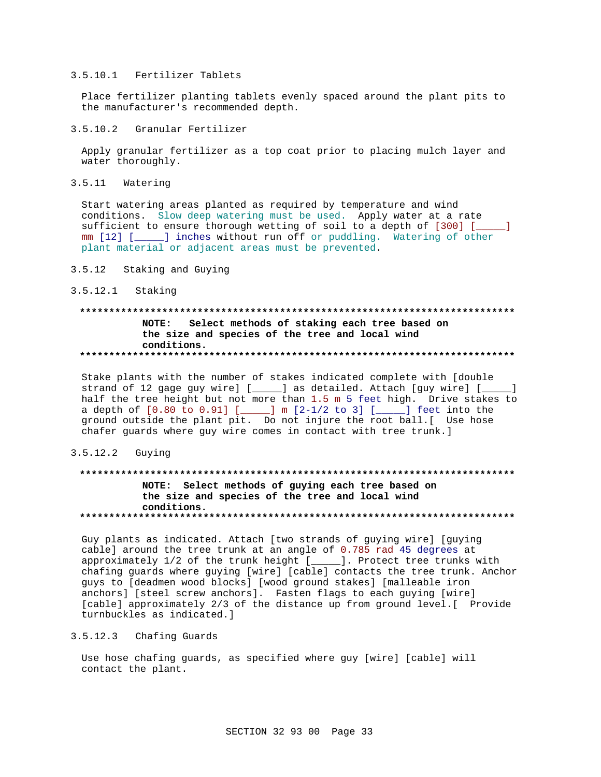## 3.5.10.1 Fertilizer Tablets

Place fertilizer planting tablets evenly spaced around the plant pits to the manufacturer's recommended depth.

## 3.5.10.2 Granular Fertilizer

Apply granular fertilizer as a top coat prior to placing mulch layer and water thoroughly.

3.5.11 Watering

Start watering areas planted as required by temperature and wind conditions. Slow deep watering must be used. Apply water at a rate sufficient to ensure thorough wetting of soil to a depth of [300] [\_\_\_\_\_] mm [12] [\_\_\_\_\_] inches without run off or puddling. Watering of other plant material or adjacent areas must be prevented.

3.5.12 Staking and Guying

## 3.5.12.1 Staking

## **\*\*\*\*\*\*\*\*\*\*\*\*\*\*\*\*\*\*\*\*\*\*\*\*\*\*\*\*\*\*\*\*\*\*\*\*\*\*\*\*\*\*\*\*\*\*\*\*\*\*\*\*\*\*\*\*\*\*\*\*\*\*\*\*\*\*\*\*\*\*\*\*\*\* NOTE: Select methods of staking each tree based on the size and species of the tree and local wind conditions. \*\*\*\*\*\*\*\*\*\*\*\*\*\*\*\*\*\*\*\*\*\*\*\*\*\*\*\*\*\*\*\*\*\*\*\*\*\*\*\*\*\*\*\*\*\*\*\*\*\*\*\*\*\*\*\*\*\*\*\*\*\*\*\*\*\*\*\*\*\*\*\*\*\***

Stake plants with the number of stakes indicated complete with [double strand of 12 gage guy wire] [\_\_\_\_\_] as detailed. Attach [guy wire] [\_\_\_\_\_] half the tree height but not more than 1.5 m 5 feet high. Drive stakes to a depth of [0.80 to 0.91] [\_\_\_\_\_] m [2-1/2 to 3] [\_\_\_\_\_] feet into the ground outside the plant pit. Do not injure the root ball.[ Use hose chafer guards where guy wire comes in contact with tree trunk.]

## 3.5.12.2 Guying

## **\*\*\*\*\*\*\*\*\*\*\*\*\*\*\*\*\*\*\*\*\*\*\*\*\*\*\*\*\*\*\*\*\*\*\*\*\*\*\*\*\*\*\*\*\*\*\*\*\*\*\*\*\*\*\*\*\*\*\*\*\*\*\*\*\*\*\*\*\*\*\*\*\*\* NOTE: Select methods of guying each tree based on the size and species of the tree and local wind conditions. \*\*\*\*\*\*\*\*\*\*\*\*\*\*\*\*\*\*\*\*\*\*\*\*\*\*\*\*\*\*\*\*\*\*\*\*\*\*\*\*\*\*\*\*\*\*\*\*\*\*\*\*\*\*\*\*\*\*\*\*\*\*\*\*\*\*\*\*\*\*\*\*\*\***

Guy plants as indicated. Attach [two strands of guying wire] [guying cable] around the tree trunk at an angle of 0.785 rad 45 degrees at approximately 1/2 of the trunk height [\_\_\_\_\_]. Protect tree trunks with chafing guards where guying [wire] [cable] contacts the tree trunk. Anchor guys to [deadmen wood blocks] [wood ground stakes] [malleable iron anchors] [steel screw anchors]. Fasten flags to each guying [wire] [cable] approximately 2/3 of the distance up from ground level.[ Provide turnbuckles as indicated.]

### 3.5.12.3 Chafing Guards

Use hose chafing guards, as specified where guy [wire] [cable] will contact the plant.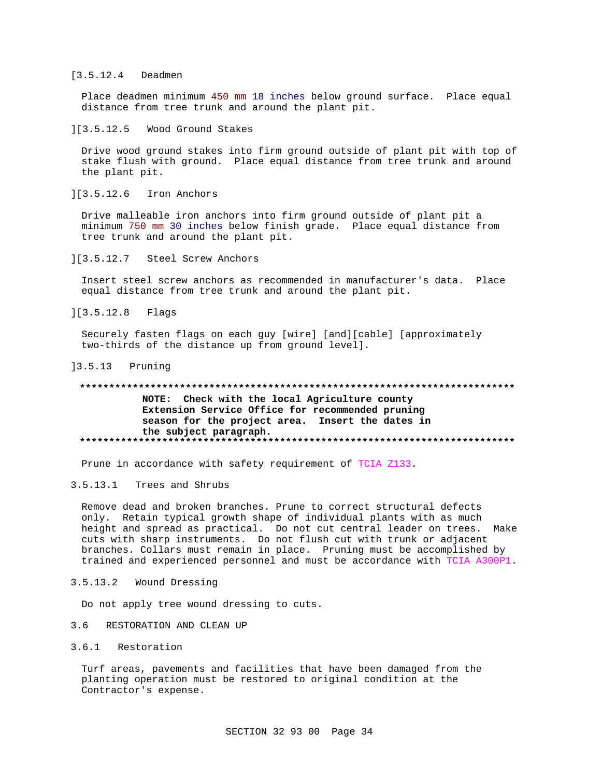## [3.5.12.4 Deadmen

Place deadmen minimum 450 mm 18 inches below ground surface. Place equal distance from tree trunk and around the plant pit.

### ][3.5.12.5 Wood Ground Stakes

Drive wood ground stakes into firm ground outside of plant pit with top of stake flush with ground. Place equal distance from tree trunk and around the plant pit.

## ][3.5.12.6 Iron Anchors

Drive malleable iron anchors into firm ground outside of plant pit a minimum 750 mm 30 inches below finish grade. Place equal distance from tree trunk and around the plant pit.

## ][3.5.12.7 Steel Screw Anchors

Insert steel screw anchors as recommended in manufacturer's data. Place equal distance from tree trunk and around the plant pit.

][3.5.12.8 Flags

Securely fasten flags on each guy [wire] [and][cable] [approximately two-thirds of the distance up from ground level].

## ]3.5.13 Pruning

## **\*\*\*\*\*\*\*\*\*\*\*\*\*\*\*\*\*\*\*\*\*\*\*\*\*\*\*\*\*\*\*\*\*\*\*\*\*\*\*\*\*\*\*\*\*\*\*\*\*\*\*\*\*\*\*\*\*\*\*\*\*\*\*\*\*\*\*\*\*\*\*\*\*\* NOTE: Check with the local Agriculture county Extension Service Office for recommended pruning season for the project area. Insert the dates in the subject paragraph. \*\*\*\*\*\*\*\*\*\*\*\*\*\*\*\*\*\*\*\*\*\*\*\*\*\*\*\*\*\*\*\*\*\*\*\*\*\*\*\*\*\*\*\*\*\*\*\*\*\*\*\*\*\*\*\*\*\*\*\*\*\*\*\*\*\*\*\*\*\*\*\*\*\***

Prune in accordance with safety requirement of TCIA Z133.

# 3.5.13.1 Trees and Shrubs

Remove dead and broken branches. Prune to correct structural defects only. Retain typical growth shape of individual plants with as much height and spread as practical. Do not cut central leader on trees. Make cuts with sharp instruments. Do not flush cut with trunk or adjacent branches. Collars must remain in place. Pruning must be accomplished by trained and experienced personnel and must be accordance with TCIA A300P1.

## 3.5.13.2 Wound Dressing

Do not apply tree wound dressing to cuts.

## 3.6 RESTORATION AND CLEAN UP

## 3.6.1 Restoration

Turf areas, pavements and facilities that have been damaged from the planting operation must be restored to original condition at the Contractor's expense.